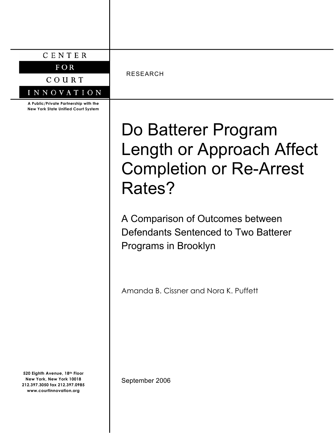|  |  | I |  |  |  |
|--|--|---|--|--|--|
|--|--|---|--|--|--|

 $F$  OR

COURT

INNOVATION

**A Public/Private Partnership with the New York State Unified Court System**

**520 Eighth Avenue, 18th Floor New York, New York 10018 212.397.3050 fax 212.397.0985 www.courtinnovation.org**

RESEARCH

# Do Batterer Program Length or Approach Affect Completion or Re-Arrest Rates?

A Comparison of Outcomes between Defendants Sentenced to Two Batterer Programs in Brooklyn

Amanda B. Cissner and Nora K. Puffett

September 2006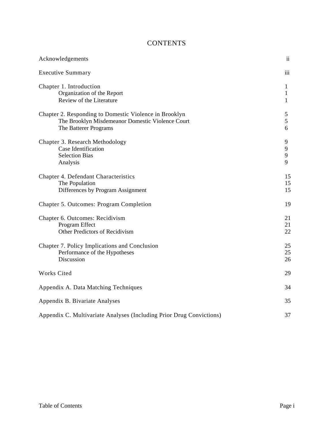# **CONTENTS**

| Acknowledgements                                                                                                                    | $\overline{\mathbf{u}}$ |
|-------------------------------------------------------------------------------------------------------------------------------------|-------------------------|
| <b>Executive Summary</b>                                                                                                            | iii                     |
| Chapter 1. Introduction<br>Organization of the Report<br>Review of the Literature                                                   | 1<br>$\mathbf{1}$<br>1  |
| Chapter 2. Responding to Domestic Violence in Brooklyn<br>The Brooklyn Misdemeanor Domestic Violence Court<br>The Batterer Programs | 5<br>5<br>6             |
| Chapter 3. Research Methodology<br>Case Identification<br><b>Selection Bias</b><br>Analysis                                         | 9<br>9<br>9<br>9        |
| Chapter 4. Defendant Characteristics<br>The Population<br>Differences by Program Assignment                                         | 15<br>15<br>15          |
| Chapter 5. Outcomes: Program Completion                                                                                             | 19                      |
| Chapter 6. Outcomes: Recidivism<br>Program Effect<br>Other Predictors of Recidivism                                                 | 21<br>21<br>22          |
| Chapter 7. Policy Implications and Conclusion<br>Performance of the Hypotheses<br>Discussion                                        | 25<br>25<br>26          |
| Works Cited                                                                                                                         | 29                      |
| Appendix A. Data Matching Techniques                                                                                                | 34                      |
| Appendix B. Bivariate Analyses                                                                                                      | 35                      |
| Appendix C. Multivariate Analyses (Including Prior Drug Convictions)                                                                | 37                      |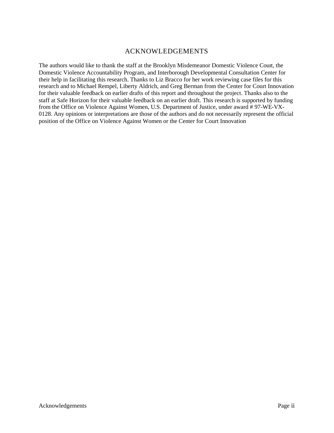# ACKNOWLEDGEMENTS

The authors would like to thank the staff at the Brooklyn Misdemeanor Domestic Violence Court, the Domestic Violence Accountability Program, and Interborough Developmental Consultation Center for their help in facilitating this research. Thanks to Liz Bracco for her work reviewing case files for this research and to Michael Rempel, Liberty Aldrich, and Greg Berman from the Center for Court Innovation for their valuable feedback on earlier drafts of this report and throughout the project. Thanks also to the staff at Safe Horizon for their valuable feedback on an earlier draft. This research is supported by funding from the Office on Violence Against Women, U.S. Department of Justice, under award # 97-WE-VX-0128. Any opinions or interpretations are those of the authors and do not necessarily represent the official position of the Office on Violence Against Women or the Center for Court Innovation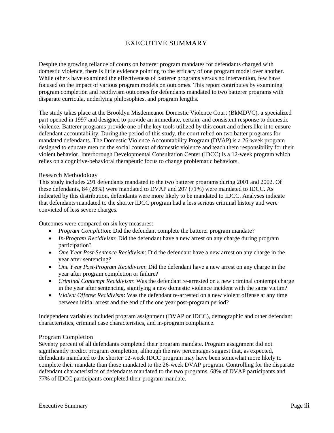# EXECUTIVE SUMMARY

Despite the growing reliance of courts on batterer program mandates for defendants charged with domestic violence, there is little evidence pointing to the efficacy of one program model over another. While others have examined the effectiveness of batterer programs versus no intervention, few have focused on the impact of various program models on outcomes. This report contributes by examining program completion and recidivism outcomes for defendants mandated to two batterer programs with disparate curricula, underlying philosophies, and program lengths.

The study takes place at the Brooklyn Misdemeanor Domestic Violence Court (BkMDVC), a specialized part opened in 1997 and designed to provide an immediate, certain, and consistent response to domestic violence. Batterer programs provide one of the key tools utilized by this court and others like it to ensure defendant accountability. During the period of this study, the court relied on two batter programs for mandated defendants. The Domestic Violence Accountability Program (DVAP) is a 26-week program designed to educate men on the social context of domestic violence and teach them responsibility for their violent behavior. Interborough Developmental Consultation Center (IDCC) is a 12-week program which relies on a cognitive-behavioral therapeutic focus to change problematic behaviors.

# Research Methodology

This study includes 291 defendants mandated to the two batterer programs during 2001 and 2002. Of these defendants, 84 (28%) were mandated to DVAP and 207 (71%) were mandated to IDCC. As indicated by this distribution, defendants were more likely to be mandated to IDCC. Analyses indicate that defendants mandated to the shorter IDCC program had a less serious criminal history and were convicted of less severe charges.

Outcomes were compared on six key measures:

- *Program Completion*: Did the defendant complete the batterer program mandate?
- *In-Program Recidivism*: Did the defendant have a new arrest on any charge during program participation?
- One Year Post-Sentence Recidivism: Did the defendant have a new arrest on any charge in the year after sentencing?
- *One Year Post-Program Recidivism*: Did the defendant have a new arrest on any charge in the year after program completion or failure?
- *Criminal Contempt Recidivism*: Was the defendant re-arrested on a new criminal contempt charge in the year after sentencing, signifying a new domestic violence incident with the same victim?
- *Violent Offense Recidivism*: Was the defendant re-arrested on a new violent offense at any time between initial arrest and the end of the one year post-program period?

Independent variables included program assignment (DVAP or IDCC), demographic and other defendant characteristics, criminal case characteristics, and in-program compliance.

# Program Completion

Seventy percent of all defendants completed their program mandate. Program assignment did not significantly predict program completion, although the raw percentages suggest that, as expected, defendants mandated to the shorter 12-week IDCC program may have been somewhat more likely to complete their mandate than those mandated to the 26-week DVAP program. Controlling for the disparate defendant characteristics of defendants mandated to the two programs, 68% of DVAP participants and 77% of IDCC participants completed their program mandate.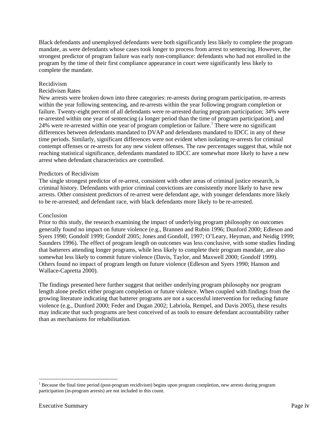Black defendants and unemployed defendants were both significantly less likely to complete the program mandate, as were defendants whose cases took longer to process from arrest to sentencing. However, the strongest predictor of program failure was early non-compliance: defendants who had not enrolled in the program by the time of their first compliance appearance in court were significantly less likely to complete the mandate.

### Recidivism

### Recidivism Rates

New arrests were broken down into three categories: re-arrests during program participation, re-arrests within the year following sentencing, and re-arrests within the year following program completion or failure. Twenty-eight percent of all defendants were re-arrested during program participation; 34% were re-arrested within one year of sentencing (a longer period than the time of program participation); and 24% were re-arrested within one year of program completion or failure.<sup>1</sup> There were no significant differences between defendants mandated to DVAP and defendants mandated to IDCC in any of these time periods. Similarly, significant differences were not evident when isolating re-arrests for criminal contempt offenses or re-arrests for any new violent offenses. The raw percentages suggest that, while not reaching statistical significance, defendants mandated to IDCC are somewhat more likely to have a new arrest when defendant characteristics are controlled.

## Predictors of Recidivism

The single strongest predictor of re-arrest, consistent with other areas of criminal justice research, is criminal history. Defendants with prior criminal convictions are consistently more likely to have new arrests. Other consistent predictors of re-arrest were defendant age, with younger defendants more likely to be re-arrested; and defendant race, with black defendants more likely to be re-arrested.

## Conclusion

Prior to this study, the research examining the impact of underlying program philosophy on outcomes generally found no impact on future violence (e.g., Brannen and Rubin 1996; Dunford 2000; Edleson and Syers 1990; Gondolf 1999; Gondolf 2005; Jones and Gondolf, 1997; O'Leary, Heyman, and Neidig 1999; Saunders 1996). The effect of program length on outcomes was less conclusive, with some studies finding that batterers attending longer programs, while less likely to complete their program mandate, are also somewhat less likely to commit future violence (Davis, Taylor, and Maxwell 2000; Gondolf 1999). Others found no impact of program length on future violence (Edleson and Syers 1990; Hanson and Wallace-Capretta 2000).

The findings presented here further suggest that neither underlying program philosophy nor program length alone predict either program completion or future violence. When coupled with findings from the growing literature indicating that batterer programs are not a successful intervention for reducing future violence (e.g., Dunford 2000; Feder and Dugan 2002; Labriola, Rempel, and Davis 2005), these results may indicate that such programs are best conceived of as tools to ensure defendant accountability rather than as mechanisms for rehabilitation.

<sup>&</sup>lt;sup>1</sup> Because the final time period (post-program recidivism) begins upon program completion, new arrests during program participation (in-program arrests) are not included in this count.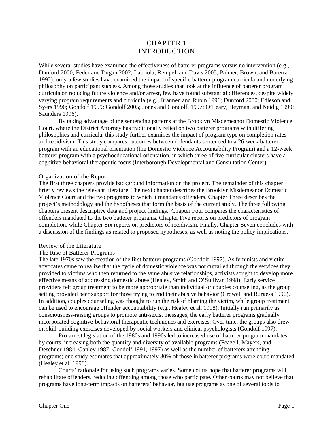# CHAPTER 1 INTRODUCTION

While several studies have examined the effectiveness of batterer programs versus no intervention (e.g., Dunford 2000; Feder and Dugan 2002; Labriola, Rempel, and Davis 2005; Palmer, Brown, and Barerra 1992), only a few studies have examined the impact of specific batterer program curricula and underlying philosophy on participant success. Among those studies that look at the influence of batterer program curricula on reducing future violence and/or arrest, few have found substantial differences, despite widely varying program requirements and curricula (e.g., Brannen and Rubin 1996; Dunford 2000; Edleson and Syers 1990; Gondolf 1999; Gondolf 2005; Jones and Gondolf, 1997; O'Leary, Heyman, and Neidig 1999; Saunders 1996).

By taking advantage of the sentencing patterns at the Brooklyn Misdemeanor Domestic Violence Court, where the District Attorney has traditionally relied on two batterer programs with differing philosophies and curricula, this study further examines the impact of program type on completion rates and recidivism. This study compares outcomes between defendants sentenced to a 26-week batterer program with an educational orientation (the Domestic Violence Accountability Program) and a 12-week batterer program with a psychoeducational orientation, in which three of five curricular clusters have a cognitive-behavioral therapeutic focus (Interborough Developmental and Consultation Center).

### Organization of the Report

The first three chapters provide background information on the project. The remainder of this chapter briefly reviews the relevant literature. The next chapter describes the Brooklyn Misdemeanor Domestic Violence Court and the two programs to which it mandates offenders. Chapter Three describes the project's methodology and the hypotheses that form the basis of the current study. The three following chapters present descriptive data and project findings. Chapter Four compares the characteristics of offenders mandated to the two batterer programs. Chapter Five reports on predictors of program completion, while Chapter Six reports on predictors of recidivism. Finally, Chapter Seven concludes with a discussion of the findings as related to proposed hypotheses, as well as noting the policy implications.

#### Review of the Literature

### The Rise of Batterer Programs

The late 1970s saw the creation of the first batterer programs (Gondolf 1997). As feminists and victim advocates came to realize that the cycle of domestic violence was not curtailed through the services they provided to victims who then returned to the same abusive relationships, activists sought to develop more effective means of addressing domestic abuse (Healey, Smith and O'Sullivan 1998). Early service providers felt group treatment to be more appropriate than individual or couples counseling, as the group setting provided peer support for those trying to end their abusive behavior (Crowell and Burgess 1996). In addition, couples counseling was thought to run the risk of blaming the victim, while group treatment can be used to encourage offender accountability (e.g., Healey et al. 1998). Initially run primarily as consciousness-raising groups to promote anti-sexist messages, the early batterer programs gradually incorporated cognitive-behavioral therapeutic techniques and exercises. Over time, the groups also drew on skill-building exercises developed by social workers and clinical psychologists (Gondolf 1997).

Pro-arrest legislation of the 1980s and 1990s led to increased use of batterer program mandates by courts, increasing both the quantity and diversity of available programs (Feazell, Mayers, and Deschner 1984; Ganley 1987; Gondolf 1991, 1997) as well as the number of batterers attending programs; one study estimates that approximately 80% of those in batterer programs were court-mandated (Healey et al. 1998).

Courts' rationale for using such programs varies. Some courts hope that batterer programs will rehabilitate offenders, reducing offending among those who participate. Other courts may not believe that programs have long-term impacts on batterers' behavior, but use programs as one of several tools to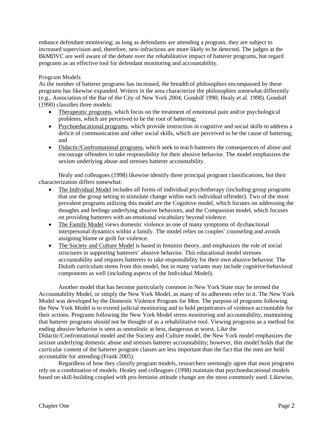enhance defendant monitoring; as long as defendants are attending a program, they are subject to increased supervision and, therefore, new infractions are more likely to be detected. The judges at the BkMDVC are well aware of the debate over the rehabilitative impact of batterer programs, but regard programs as an effective tool for defendant monitoring and accountability.

# Program Models

As the number of batterer programs has increased, the breadth of philosophies encompassed by these programs has likewise expanded. Writers in the area characterize the philosophies somewhat differently (e.g., Association of the Bar of the City of New York 2004; Gondolf 1990; Healy et al. 1998). Gondolf (1990) classifies three models:

- Therapeutic programs, which focus on the treatment of emotional pain and/or psychological problems, which are perceived to be the root of battering;
- Psychoeducational programs, which provide instruction in cognitive and social skills to address a deficit of communication and other social skills, which are perceived to be the cause of battering; and
- Didactic/Confrontational programs, which seek to teach batterers the consequences of abuse and encourage offenders to take responsibility for their abusive behavior. The model emphasizes the sexism underlying abuse and stresses batterer accountability.

Healy and colleagues (1998) likewise identify three principal program classifications, but their characterization differs somewhat:

- x The Individual Model includes all forms of individual psychotherapy (including group programs that use the group setting to stimulate change within each individual offender). Two of the most prevalent programs utilizing this model are the Cognitive model, which focuses on addressing the thoughts and feelings underlying abusive behaviors, and the Compassion model, which focuses on providing batterers with an emotional vocabulary beyond violence.
- The Family Model views domestic violence as one of many symptoms of dysfunctional interpersonal dynamics within a family. The model relies on couples' counseling and avoids assigning blame or guilt for violence.
- The Society and Culture Model is based in feminist theory, and emphasizes the role of social structures in supporting batterers' abusive behavior. This educational model stresses accountability and requires batterers to take responsibility for their own abusive behavior. The Duluth curriculum stems from this model, but in many variants may include cognitive-behavioral components as well (including aspects of the Individual Model).

Another model that has become particularly common in New York State may be termed the Accountability Model, or simply the New York Model, as many of its adherents refer to it. The New York Model was developed by the Domestic Violence Program for Men. The purpose of programs following the New York Model is to extend judicial monitoring and to hold perpetrators of violence accountable for their actions. Programs following the New York Model stress monitoring and accountability, maintaining that batterer programs should not be thought of as a rehabilitative tool. Viewing programs as a method for ending abusive behavior is seen as unrealistic at best, dangerous at worst. Like the Didactic/Confrontational model and the Society and Culture model, the New York model emphasizes the sexism underlying domestic abuse and stresses batterer accountability; however, this model holds that the curricular content of the batterer program classes are less important than the fact that the men are held accountable for attending (Frank 2005).

Regardless of how they classify program models, researchers seemingly agree that most programs rely on a combination of models. Healey and colleagues (1998) maintain that psychoeducational models based on skill-building coupled with pro-feminist attitude change are the most commonly used. Likewise,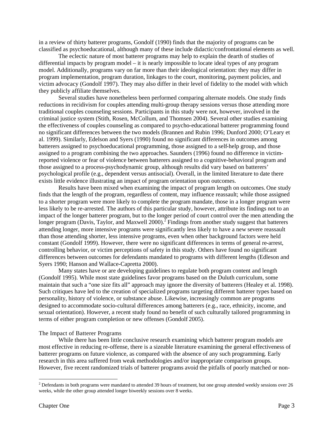in a review of thirty batterer programs, Gondolf (1990) finds that the majority of programs can be classified as psychoeducational, although many of these include didactic/confrontational elements as well.

The eclectic nature of most batterer programs may help to explain the dearth of studies of differential impacts by program model – it is nearly impossible to locate ideal types of any program model. Additionally, programs vary on far more than their ideological orientation: they may differ in program implementation, program duration, linkages to the court, monitoring, payment policies, and victim advocacy (Gondolf 1997). They may also differ in their level of fidelity to the model with which they publicly affiliate themselves.

Several studies have nonetheless been performed comparing alternate models. One study finds reductions in recidivism for couples attending multi-group therapy sessions versus those attending more traditional couples counseling sessions. Participants in this study were not, however, involved in the criminal justice system (Stith, Rosen, McCollum, and Thomsen 2004). Several other studies examining the effectiveness of couples counseling as compared to psycho-educational batterer programming found no significant differences between the two models (Brannen and Rubin 1996; Dunford 2000; O'Leary et al. 1999). Similarly, Edelson and Syers (1990) found no significant differences in outcomes among batterers assigned to psychoeducational programming, those assigned to a self-help group, and those assigned to a program combining the two approaches. Saunders (1996) found no difference in victimreported violence or fear of violence between batterers assigned to a cognitive-behavioral program and those assigned to a process-psychodynamic group, although results did vary based on batterers' psychological profile (e.g., dependent versus antisocial). Overall, in the limited literature to date there exists little evidence illustrating an impact of program orientation upon outcomes.

Results have been mixed when examining the impact of program length on outcomes. One study finds that the length of the program, regardless of content, may influence reassault; while those assigned to a shorter program were more likely to complete the program mandate, those in a longer program were less likely to be re-arrested. The authors of this particular study, however, attribute its findings not to an impact of the longer batterer program, but to the longer period of court control over the men attending the longer program (Davis, Taylor, and Maxwell 2000).<sup>2</sup> Findings from another study suggest that batterers attending longer, more intensive programs were significantly less likely to have a new severe reassault than those attending shorter, less intensive programs, even when other background factors were held constant (Gondolf 1999). However, there were no significant differences in terms of general re-arrest, controlling behavior, or victim perceptions of safety in this study. Others have found no significant differences between outcomes for defendants mandated to programs with different lengths (Edleson and Syers 1990; Hanson and Wallace-Capretta 2000).

Many states have or are developing guidelines to regulate both program content and length (Gondolf 1995). While most state guidelines favor programs based on the Duluth curriculum, some maintain that such a "one size fits all" approach may ignore the diversity of batterers (Healey et al. 1998). Such critiques have led to the creation of specialized programs targeting different batterer types based on personality, history of violence, or substance abuse. Likewise, increasingly common are programs designed to accommodate socio-cultural differences among batterers (e.g., race, ethnicity, income, and sexual orientation). However, a recent study found no benefit of such culturally tailored programming in terms of either program completion or new offenses (Gondolf 2005).

### The Impact of Batterer Programs

While there has been little conclusive research examining which batterer program models are most effective in reducing re-offense, there is a sizeable literature examining the general effectiveness of batterer programs on future violence, as compared with the absence of any such programming. Early research in this area suffered from weak methodologies and/or inappropriate comparison groups. However, five recent randomized trials of batterer programs avoid the pitfalls of poorly matched or non-

 $2$  Defendants in both programs were mandated to attended 39 hours of treatment, but one group attended weekly sessions over 26 weeks, while the other group attended longer biweekly sessions over 8 weeks.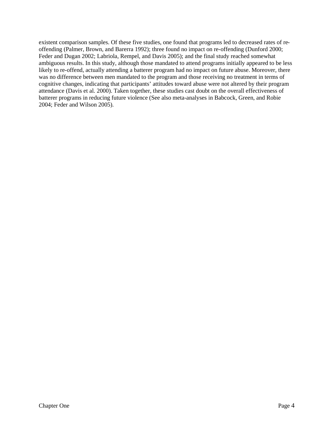existent comparison samples. Of these five studies, one found that programs led to decreased rates of reoffending (Palmer, Brown, and Barerra 1992); three found no impact on re-offending (Dunford 2000; Feder and Dugan 2002; Labriola, Rempel, and Davis 2005); and the final study reached somewhat ambiguous results. In this study, although those mandated to attend programs initially appeared to be less likely to re-offend, actually attending a batterer program had no impact on future abuse. Moreover, there was no difference between men mandated to the program and those receiving no treatment in terms of cognitive changes, indicating that participants' attitudes toward abuse were not altered by their program attendance (Davis et al. 2000). Taken together, these studies cast doubt on the overall effectiveness of batterer programs in reducing future violence (See also meta-analyses in Babcock, Green, and Robie 2004; Feder and Wilson 2005).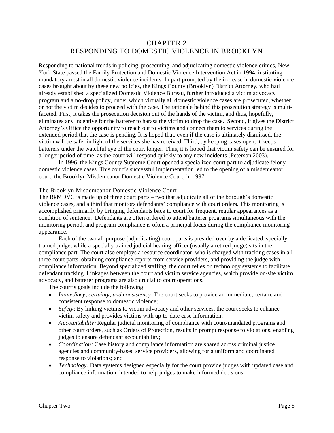# CHAPTER 2 RESPONDING TO DOMESTIC VIOLENCE IN BROOKLYN

Responding to national trends in policing, prosecuting, and adjudicating domestic violence crimes, New York State passed the Family Protection and Domestic Violence Intervention Act in 1994, instituting mandatory arrest in all domestic violence incidents. In part prompted by the increase in domestic violence cases brought about by these new policies, the Kings County (Brooklyn) District Attorney, who had already established a specialized Domestic Violence Bureau, further introduced a victim advocacy program and a no-drop policy, under which virtually all domestic violence cases are prosecuted, whether or not the victim decides to proceed with the case. The rationale behind this prosecution strategy is multifaceted. First, it takes the prosecution decision out of the hands of the victim, and thus, hopefully, eliminates any incentive for the batterer to harass the victim to drop the case. Second, it gives the District Attorney's Office the opportunity to reach out to victims and connect them to services during the extended period that the case is pending. It is hoped that, even if the case is ultimately dismissed, the victim will be safer in light of the services she has received. Third, by keeping cases open, it keeps batterers under the watchful eye of the court longer. Thus, it is hoped that victim safety can be ensured for a longer period of time, as the court will respond quickly to any new incidents (Peterson 2003).

In 1996, the Kings County Supreme Court opened a specialized court part to adjudicate felony domestic violence cases. This court's successful implementation led to the opening of a misdemeanor court, the Brooklyn Misdemeanor Domestic Violence Court, in 1997.

### The Brooklyn Misdemeanor Domestic Violence Court

The BkMDVC is made up of three court parts – two that adjudicate all of the borough's domestic violence cases, and a third that monitors defendants' compliance with court orders. This monitoring is accomplished primarily by bringing defendants back to court for frequent, regular appearances as a condition of sentence. Defendants are often ordered to attend batterer programs simultaneous with the monitoring period, and program compliance is often a principal focus during the compliance monitoring appearance.

Each of the two all-purpose (adjudicating) court parts is presided over by a dedicated, specially trained judge, while a specially trained judicial hearing officer (usually a retired judge) sits in the compliance part. The court also employs a resource coordinator, who is charged with tracking cases in all three court parts, obtaining compliance reports from service providers, and providing the judge with compliance information. Beyond specialized staffing, the court relies on technology systems to facilitate defendant tracking. Linkages between the court and victim service agencies, which provide on-site victim advocacy, and batterer programs are also crucial to court operations.

The court's goals include the following:

- x *Immediacy, certainty, and consistency:* The court seeks to provide an immediate, certain, and consistent response to domestic violence;
- *Safety:* By linking victims to victim advocacy and other services, the court seeks to enhance victim safety and provides victims with up-to-date case information;
- *Accountability:* Regular judicial monitoring of compliance with court-mandated programs and other court orders, such as Orders of Protection, results in prompt response to violations, enabling judges to ensure defendant accountability;
- *Coordination:* Case history and compliance information are shared across criminal justice agencies and community-based service providers, allowing for a uniform and coordinated response to violations; and
- *Technology:* Data systems designed especially for the court provide judges with updated case and compliance information, intended to help judges to make informed decisions.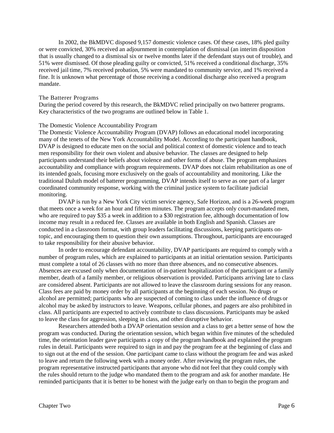In 2002, the BkMDVC disposed 9,157 domestic violence cases. Of these cases, 18% pled guilty or were convicted, 30% received an adjournment in contemplation of dismissal (an interim disposition that is usually changed to a dismissal six or twelve months later if the defendant stays out of trouble), and 51% were dismissed. Of those pleading guilty or convicted, 51% received a conditional discharge, 35% received jail time, 7% received probation, 5% were mandated to community service, and 1% received a fine. It is unknown what percentage of those receiving a conditional discharge also received a program mandate.

## The Batterer Programs

During the period covered by this research, the BkMDVC relied principally on two batterer programs. Key characteristics of the two programs are outlined below in Table 1.

# The Domestic Violence Accountability Program

The Domestic Violence Accountability Program (DVAP) follows an educational model incorporating many of the tenets of the New York Accountability Model. According to the participant handbook, DVAP is designed to educate men on the social and political context of domestic violence and to teach men responsibility for their own violent and abusive behavior. The classes are designed to help participants understand their beliefs about violence and other forms of abuse. The program emphasizes accountability and compliance with program requirements. DVAP does not claim rehabilitation as one of its intended goals, focusing more exclusively on the goals of accountability and monitoring. Like the traditional Duluth model of batterer programming, DVAP intends itself to serve as one part of a larger coordinated community response, working with the criminal justice system to facilitate judicial monitoring.

DVAP is run by a New York City victim service agency, Safe Horizon, and is a 26-week program that meets once a week for an hour and fifteen minutes. The program accepts only court-mandated men, who are required to pay \$35 a week in addition to a \$30 registration fee, although documentation of low income may result in a reduced fee. Classes are available in both English and Spanish. Classes are conducted in a classroom format, with group leaders facilitating discussions, keeping participants ontopic, and encouraging them to question their own assumptions. Throughout, participants are encouraged to take responsibility for their abusive behavior.

In order to encourage defendant accountability, DVAP participants are required to comply with a number of program rules, which are explained to participants at an initial orientation session. Participants must complete a total of 26 classes with no more than three absences, and no consecutive absences. Absences are excused only when documentation of in-patient hospitalization of the participant or a family member, death of a family member, or religious observation is provided. Participants arriving late to class are considered absent. Participants are not allowed to leave the classroom during sessions for any reason. Class fees are paid by money order by all participants at the beginning of each session. No drugs or alcohol are permitted; participants who are suspected of coming to class under the influence of drugs or alcohol may be asked by instructors to leave. Weapons, cellular phones, and pagers are also prohibited in class. All participants are expected to actively contribute to class discussions. Participants may be asked to leave the class for aggression, sleeping in class, and other disruptive behavior.

Researchers attended both a DVAP orientation session and a class to get a better sense of how the program was conducted. During the orientation session, which began within five minutes of the scheduled time, the orientation leader gave participants a copy of the program handbook and explained the program rules in detail. Participants were required to sign in and pay the program fee at the beginning of class and to sign out at the end of the session. One participant came to class without the program fee and was asked to leave and return the following week with a money order. After reviewing the program rules, the program representative instructed participants that anyone who did not feel that they could comply with the rules should return to the judge who mandated them to the program and ask for another mandate. He reminded participants that it is better to be honest with the judge early on than to begin the program and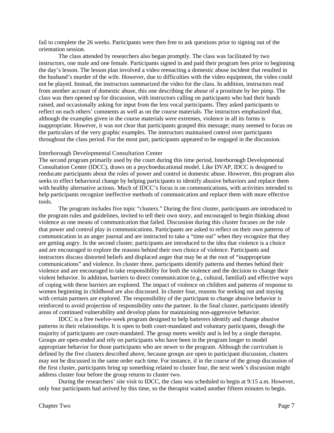fail to complete the 26 weeks. Participants were then free to ask questions prior to signing out of the orientation session.

The class attended by researchers also began promptly. The class was facilitated by two instructors, one male and one female. Participants signed in and paid their program fees prior to beginning the day's lesson. The lesson plan involved a video reenacting a domestic abuse incident that resulted in the husband's murder of the wife. However, due to difficulties with the video equipment, the video could not be played. Instead, the instructors summarized the video for the class. In addition, instructors read from another account of domestic abuse, this one describing the abuse of a prostitute by her pimp. The class was then opened up for discussion, with instructors calling on participants who had their hands raised, and occasionally asking for input from the less vocal participants. They asked participants to reflect on each others' comments as well as on the course materials. The instructors emphasized that, although the examples given in the course materials were extremes, violence in all its forms is inappropriate. However, it was not clear that participants grasped this message; many seemed to focus on the particulars of the very graphic examples. The instructors maintained control over participants throughout the class period. For the most part, participants appeared to be engaged in the discussion.

### Interborough Developmental Consultation Center

The second program primarily used by the court during this time period, Interborough Developmental Consultation Center (IDCC), draws on a psychoeducational model. Like DVAP, IDCC is designed to reeducate participants about the roles of power and control in domestic abuse. However, this program also seeks to effect behavioral change by helping participants to identify abusive behaviors and replace them with healthy alternative actions. Much of IDCC's focus is on communications, with activities intended to help participants recognize ineffective methods of communication and replace them with more effective tools.

The program includes five topic "clusters." During the first cluster, participants are introduced to the program rules and guidelines, invited to tell their own story, and encouraged to begin thinking about violence as one means of communication that failed. Discussion during this cluster focuses on the role that power and control play in communications. Participants are asked to reflect on their own patterns of communication in an anger journal and are instructed to take a "time out" when they recognize that they are getting angry. In the second cluster, participants are introduced to the idea that violence is a choice and are encouraged to explore the reasons behind their own choice of violence. Participants and instructors discuss distorted beliefs and displaced anger that may be at the root of "inappropriate communications" and violence. In cluster three, participants identify patterns and themes behind their violence and are encouraged to take responsibility for both the violence and the decision to change their violent behavior. In addition, barriers to direct communication (e.g., cultural, familial) and effective ways of coping with these barriers are explored. The impact of violence on children and patterns of response to women beginning in childhood are also discussed. In cluster four, reasons for seeking out and staying with certain partners are explored. The responsibility of the participant to change abusive behavior is reinforced to avoid projection of responsibility onto the partner. In the final cluster, participants identify areas of continued vulnerability and develop plans for maintaining non-aggressive behavior.

IDCC is a free twelve-week program designed to help batterers identify and change abusive patterns in their relationships. It is open to both court-mandated and voluntary participants, though the majority of participants are court-mandated. The group meets weekly and is led by a single therapist. Groups are open-ended and rely on participants who have been in the program longer to model appropriate behavior for those participants who are newer to the program. Although the curriculum is defined by the five clusters described above, because groups are open to participant discussion, clusters may not be discussed in the same order each time. For instance, if in the course of the group discussion of the first cluster, participants bring up something related to cluster four, the next week's discussion might address cluster four before the group returns to cluster two.

During the researchers' site visit to IDCC, the class was scheduled to begin at 9:15 a.m. However, only four participants had arrived by this time, so the therapist waited another fifteen minutes to begin.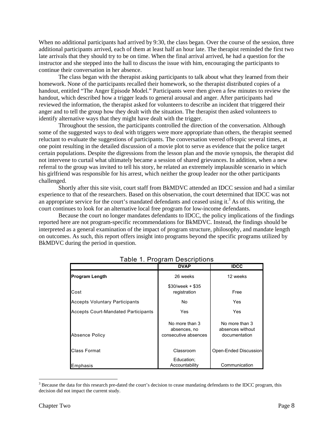When no additional participants had arrived by 9:30, the class began. Over the course of the session, three additional participants arrived, each of them at least half an hour late. The therapist reminded the first two late arrivals that they should try to be on time. When the final arrival arrived, he had a question for the instructor and she stepped into the hall to discuss the issue with him, encouraging the participants to continue their conversation in her absence.

The class began with the therapist asking participants to talk about what they learned from their homework. None of the participants recalled their homework, so the therapist distributed copies of a handout, entitled "The Anger Episode Model." Participants were then given a few minutes to review the handout, which described how a trigger leads to general arousal and anger. After participants had reviewed the information, the therapist asked for volunteers to describe an incident that triggered their anger and to tell the group how they dealt with the situation. The therapist then asked volunteers to identify alternative ways that they might have dealt with the trigger.

Throughout the session, the participants controlled the direction of the conversation. Although some of the suggested ways to deal with triggers were more appropriate than others, the therapist seemed reluctant to evaluate the suggestions of participants. The conversation veered off-topic several times, at one point resulting in the detailed discussion of a movie plot to serve as evidence that the police target certain populations. Despite the digressions from the lesson plan and the movie synopsis, the therapist did not intervene to curtail what ultimately became a session of shared grievances. In addition, when a new referral to the group was invited to tell his story, he related an extremely implausible scenario in which his girlfriend was responsible for his arrest, which neither the group leader nor the other participants challenged.

Shortly after this site visit, court staff from BkMDVC attended an IDCC session and had a similar experience to that of the researchers. Based on this observation, the court determined that IDCC was not an appropriate service for the court's mandated defendants and ceased using it.<sup>3</sup> As of this writing, the court continues to look for an alternative local free program for low-income defendants.

Because the court no longer mandates defendants to IDCC, the policy implications of the findings reported here are not program-specific recommendations for BkMDVC. Instead, the findings should be interpreted as a general examination of the impact of program structure, philosophy, and mandate length on outcomes. As such, this report offers insight into programs beyond the specific programs utilized by BkMDVC during the period in question.

|                                            | <b>DVAP</b>                                            | <b>IDCC</b>                                         |
|--------------------------------------------|--------------------------------------------------------|-----------------------------------------------------|
| <b>Program Length</b>                      | 26 weeks                                               | 12 weeks                                            |
| Cost                                       | $$30/week + $35$<br>registration                       | Free                                                |
| <b>Accepts Voluntary Participants</b>      | No                                                     | Yes                                                 |
| <b>Accepts Court-Mandated Participants</b> | Yes                                                    | Yes                                                 |
| <b>Absence Policy</b>                      | No more than 3<br>absences, no<br>consecutive absences | No more than 3<br>absences without<br>documentation |
| <b>Class Format</b>                        | Classroom                                              | Open-Ended Discussion                               |
| Emphasis                                   | Education;<br>Accountability                           | Communication                                       |

# Table 1. Program Descriptions

 $3$  Because the data for this research pre-dated the court's decision to cease mandating defendants to the IDCC program, this decision did not impact the current study.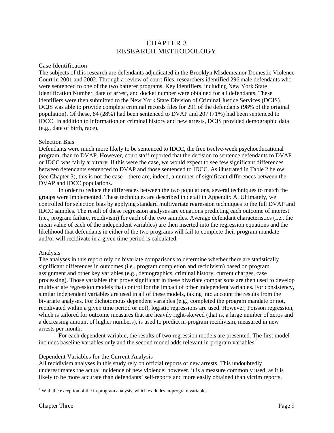# CHAPTER 3 RESEARCH METHODOLOGY

# Case Identification

The subjects of this research are defendants adjudicated in the Brooklyn Misdemeanor Domestic Violence Court in 2001 and 2002. Through a review of court files, researchers identified 296 male defendants who were sentenced to one of the two batterer programs. Key identifiers, including New York State Identification Number, date of arrest, and docket number were obtained for all defendants. These identifiers were then submitted to the New York State Division of Criminal Justice Services (DCJS). DCJS was able to provide complete criminal records files for 291 of the defendants (98% of the original population). Of these, 84 (28%) had been sentenced to DVAP and 207 (71%) had been sentenced to IDCC. In addition to information on criminal history and new arrests, DCJS provided demographic data (e.g., date of birth, race).

# Selection Bias

Defendants were much more likely to be sentenced to IDCC, the free twelve-week psychoeducational program, than to DVAP. However, court staff reported that the decision to sentence defendants to DVAP or IDCC was fairly arbitrary. If this were the case, we would expect to see few significant differences between defendants sentenced to DVAP and those sentenced to IDCC. As illustrated in Table 2 below (see Chapter 3), this is not the case – there are, indeed, a number of significant differences between the DVAP and IDCC populations.

In order to reduce the differences between the two populations, several techniques to match the groups were implemented. These techniques are described in detail in Appendix A. Ultimately, we controlled for selection bias by applying standard multivariate regression techniques to the full DVAP and IDCC samples. The result of these regression analyses are equations predicting each outcome of interest (i.e., program failure, recidivism) for each of the two samples. Average defendant characteristics (i.e., the mean value of each of the independent variables) are then inserted into the regression equations and the likelihood that defendants in either of the two programs will fail to complete their program mandate and/or will recidivate in a given time period is calculated.

# Analysis

The analyses in this report rely on bivariate comparisons to determine whether there are statistically significant differences in outcomes (i.e., program completion and recidivism) based on program assignment and other key variables (e.g., demographics, criminal history, current charges, case processing). Those variables that prove significant in these bivariate comparisons are then used to develop multivariate regression models that control for the impact of other independent variables. For consistency, similar independent variables are used in all of these models, taking into account the results from the bivariate analyses. For dichotomous dependent variables (e.g., completed the program mandate or not, recidivated within a given time period or not), logistic regressions are used. However, Poisson regression, which is tailored for outcome measures that are heavily right-skewed (that is, a large number of zeros and a decreasing amount of higher numbers), is used to predict in-program recidivism, measured in new arrests per month.

For each dependent variable, the results of two regression models are presented. The first model includes baseline variables only and the second model adds relevant in-program variables.<sup>4</sup>

### Dependent Variables for the Current Analysis

All recidivism analyses in this study rely on official reports of new arrests. This undoubtedly underestimates the actual incidence of new violence; however, it is a measure commonly used, as it is likely to be more accurate than defendants' self-reports and more easily obtained than victim reports.

<sup>&</sup>lt;sup>4</sup> With the exception of the in-program analysis, which excludes in-program variables.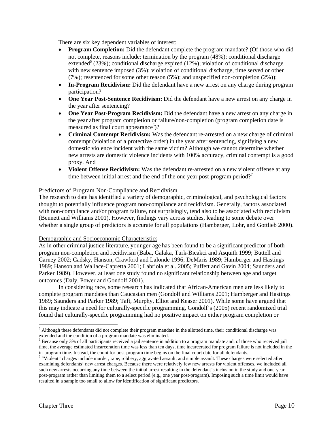There are six key dependent variables of interest:

- **Program Completion:** Did the defendant complete the program mandate? (Of those who did not complete, reasons include: termination by the program (48%); conditional discharge extended<sup>5</sup> (23%); conditional discharge expired (12%); violation of conditional discharge with new sentence imposed (3%); violation of conditional discharge, time served or other (7%); resentenced for some other reason (5%); and unspecified non-completion (2%));
- **In-Program Recidivism:** Did the defendant have a new arrest on any charge during program participation?
- One Year Post-Sentence Recidivism: Did the defendant have a new arrest on any charge in the year after sentencing?
- One Year Post-Program Recidivism: Did the defendant have a new arrest on any charge in the year after program completion or failure/non-completion (program completion date is measured as final court appearance<sup>6</sup>)?
- x **Criminal Contempt Recidivism:** Was the defendant re-arrested on a new charge of criminal contempt (violation of a protective order) in the year after sentencing, signifying a new domestic violence incident with the same victim? Although we cannot determine whether new arrests are domestic violence incidents with 100% accuracy, criminal contempt is a good proxy. And
- Violent Offense Recidivism: Was the defendant re-arrested on a new violent offense at any time between initial arrest and the end of the one year post-program period?<sup>7</sup>

# Predictors of Program Non-Compliance and Recidivism

The research to date has identified a variety of demographic, criminological, and psychological factors thought to potentially influence program non-compliance and recidivism. Generally, factors associated with non-compliance and/or program failure, not surprisingly, tend also to be associated with recidivism (Bennett and Williams 2001). However, findings vary across studies, leading to some debate over whether a single group of predictors is accurate for all populations (Hamberger, Lohr, and Gottlieb 2000).

# Demographic and Socioeconomic Characteristics

As in other criminal justice literature, younger age has been found to be a significant predictor of both program non-completion and recidivism (Baba, Galaka, Turk-Bicakci and Asquith 1999; Buttell and Carney 2002; Cadsky, Hanson, Crawford and Lalonde 1996; DeMaris 1989; Hamberger and Hastings 1989; Hanson and Wallace-Capretta 2001; Labriola et al. 2005; Puffett and Gavin 2004; Saunders and Parker 1989). However, at least one study found no significant relationship between age and target outcomes (Daly, Power and Gondolf 2001).

In considering race, some research has indicated that African-American men are less likely to complete program mandates than Caucasian men (Gondolf and Williams 2001; Hamberger and Hastings 1989; Saunders and Parker 1989; Taft, Murphy, Elliot and Keaser 2001). While some have argued that this may indicate a need for culturally-specific programming, Gondolf's (2005) recent randomized trial found that culturally-specific programming had no positive impact on either program completion or

<sup>&</sup>lt;sup>5</sup> Although these defendants did not complete their program mandate in the allotted time, their conditional discharge was extended and the condition of a program mandate was eliminated.

<sup>&</sup>lt;sup>6</sup> Because only 3% of all participants received a jail sentence in addition to a program mandate and, of those who received jail time, the average estimated incarceration time was less than ten days, time incarcerated for program failure is not included in the in-program time. Instead, the count for post-program time begins on the final court date for all defendants.

 $7$  "Violent" charges include murder, rape, robbery, aggravated assault, and simple assault. These charges were selected after examining defendants' new arrest charges. Because there were relatively few new arrests for violent offenses, we included all such new arrests occurring any time between the initial arrest resulting in the defendant's inclusion in the study and one-year post-program rather than limiting them to a select period (e.g., one year post-program). Imposing such a time limit would have resulted in a sample too small to allow for identification of significant predictors.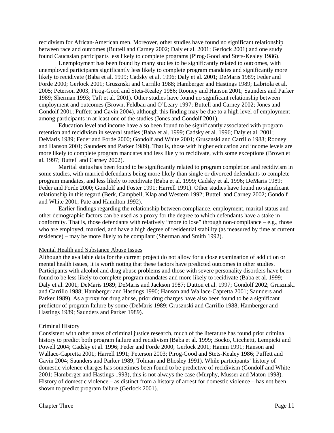recidivism for African-American men. Moreover, other studies have found no significant relationship between race and outcomes (Buttell and Carney 2002; Daly et al. 2001; Gerlock 2001) and one study found Caucasian participants less likely to complete programs (Pirog-Good and Stets-Kealey 1986).

Unemployment has been found by many studies to be significantly related to outcomes, with unemployed participants significantly less likely to complete program mandates and significantly more likely to recidivate (Baba et al. 1999; Cadsky et al. 1996; Daly et al. 2001; DeMaris 1989; Feder and Forde 2000; Gerlock 2001; Grusznski and Carrillo 1988; Hamberger and Hastings 1989; Labriola et al. 2005; Peterson 2003; Pirog-Good and Stets-Kealey 1986; Rooney and Hanson 2001; Saunders and Parker 1989; Sherman 1993; Taft et al. 2001). Other studies have found no significant relationship between employment and outcomes (Brown, Feldbau and O'Leary 1997; Buttell and Carney 2002; Jones and Gondolf 2001; Puffett and Gavin 2004), although this finding may be due to a high level of employment among participants in at least one of the studies (Jones and Gondolf 2001).

Education level and income have also been found to be significantly associated with program retention and recidivism in several studies (Baba et al. 1999; Cadsky et al. 1996; Daly et al. 2001; DeMaris 1989; Feder and Forde 2000; Gondolf and White 2001; Grusznski and Carrillo 1988; Rooney and Hanson 2001; Saunders and Parker 1989). That is, those with higher education and income levels are more likely to complete program mandates and less likely to recidivate, with some exceptions (Brown et al. 1997; Buttell and Carney 2002).

Marital status has been found to be significantly related to program completion and recidivism in some studies, with married defendants being more likely than single or divorced defendants to complete program mandates, and less likely to recidivate (Baba et al. 1999; Cadsky et al. 1996; DeMaris 1989; Feder and Forde 2000; Gondolf and Foster 1991; Harrell 1991). Other studies have found no significant relationship in this regard (Berk, Campbell, Klap and Western 1992; Buttell and Carney 2002; Gondolf and White 2001; Pate and Hamilton 1992).

Earlier findings regarding the relationship between compliance, employment, marital status and other demographic factors can be used as a proxy for the degree to which defendants have a stake in conformity. That is, those defendants with relatively "more to lose" through non-compliance – e.g., those who are employed, married, and have a high degree of residential stability (as measured by time at current residence) – may be more likely to be compliant (Sherman and Smith 1992).

### Mental Health and Substance Abuse Issues

Although the available data for the current project do not allow for a close examination of addiction or mental health issues, it is worth noting that these factors have predicted outcomes in other studies. Participants with alcohol and drug abuse problems and those with severe personality disorders have been found to be less likely to complete program mandates and more likely to recidivate (Baba et al. 1999; Daly et al. 2001; DeMaris 1989; DeMaris and Jackson 1987; Dutton et al. 1997; Gondolf 2002; Grusznski and Carrillo 1988; Hamberger and Hastings 1990; Hanson and Wallace-Capretta 2001; Saunders and Parker 1989). As a proxy for drug abuse, prior drug charges have also been found to be a significant predictor of program failure by some (DeMaris 1989; Grusznski and Carrillo 1988; Hamberger and Hastings 1989; Saunders and Parker 1989).

# Criminal History

Consistent with other areas of criminal justice research, much of the literature has found prior criminal history to predict both program failure and recidivism (Baba et al. 1999; Bocko, Cicchetti, Lempicki and Powell 2004; Cadsky et al. 1996; Feder and Forde 2000; Gerlock 2001; Hamm 1991; Hanson and Wallace-Capretta 2001; Harrell 1991; Peterson 2003; Pirog-Good and Stets-Kealey 1986; Puffett and Gavin 2004; Saunders and Parker 1989; Tolman and Bhosley 1991). While participants' history of domestic violence charges has sometimes been found to be predictive of recidivism (Gondolf and White 2001; Hamberger and Hastings 1993), this is not always the case (Murphy, Musser and Maton 1998). History of domestic violence – as distinct from a history of arrest for domestic violence – has not been shown to predict program failure (Gerlock 2001).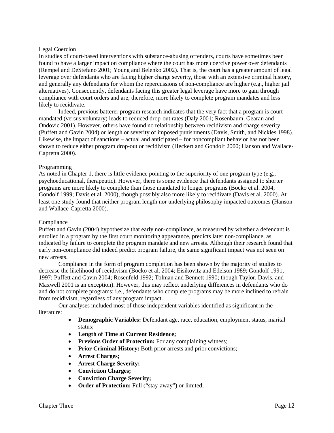# Legal Coercion

In studies of court-based interventions with substance-abusing offenders, courts have sometimes been found to have a larger impact on compliance where the court has more coercive power over defendants (Rempel and DeStefano 2001; Young and Belenko 2002). That is, the court has a greater amount of legal leverage over defendants who are facing higher charge severity, those with an extensive criminal history, and generally any defendants for whom the repercussions of non-compliance are higher (e.g., higher jail alternatives). Consequently, defendants facing this greater legal leverage have more to gain through compliance with court orders and are, therefore, more likely to complete program mandates and less likely to recidivate.

Indeed, previous batterer program research indicates that the very fact that a program is court mandated (versus voluntary) leads to reduced drop-out rates (Daly 2001; Rosenbaum, Gearan and Ondovic 2001). However, others have found no relationship between recidivism and charge severity (Puffett and Gavin 2004) or length or severity of imposed punishments (Davis, Smith, and Nickles 1998). Likewise, the impact of sanctions – actual and anticipated – for noncompliant behavior has not been shown to reduce either program drop-out or recidivism (Heckert and Gondolf 2000; Hanson and Wallace-Capretta 2000).

# Programming

As noted in Chapter 1, there is little evidence pointing to the superiority of one program type (e.g., psychoeducational, therapeutic). However, there is some evidence that defendants assigned to shorter programs are more likely to complete than those mandated to longer programs (Bocko et al. 2004; Gondolf 1999; Davis et al. 2000), though possibly also more likely to recidivate (Davis et al. 2000). At least one study found that neither program length nor underlying philosophy impacted outcomes (Hanson and Wallace-Capretta 2000).

# Compliance

Puffett and Gavin (2004) hypothesize that early non-compliance, as measured by whether a defendant is enrolled in a program by the first court monitoring appearance, predicts later non-compliance, as indicated by failure to complete the program mandate and new arrests. Although their research found that early non-compliance did indeed predict program failure, the same significant impact was not seen on new arrests.

Compliance in the form of program completion has been shown by the majority of studies to decrease the likelihood of recidivism (Bocko et al. 2004; Eisikovitz and Edelson 1989; Gondolf 1991, 1997; Puffett and Gavin 2004; Rosenfeld 1992; Tolman and Bennett 1990; though Taylor, Davis, and Maxwell 2001 is an exception). However, this may reflect underlying differences in defendants who do and do not complete programs; i.e., defendants who complete programs may be more inclined to refrain from recidivism, regardless of any program impact.

Our analyses included most of those independent variables identified as significant in the literature:

- **Demographic Variables:** Defendant age, race, education, employment status, marital status;
- x **Length of Time at Current Residence;**
- **Previous Order of Protection:** For any complaining witness:
- **Prior Criminal History:** Both prior arrests and prior convictions;
- x **Arrest Charges;**
- Arrest Charge Severity;
- x **Conviction Charges;**
- Conviction Charge Severity;
- Order of Protection: Full ("stay-away") or limited;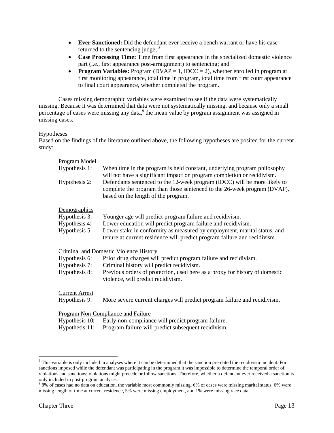- **Ever Sanctioned:** Did the defendant ever receive a bench warrant or have his case returned to the sentencing judge; <sup>8</sup>
- Case Processing Time: Time from first appearance in the specialized domestic violence part (i.e., first appearance post-arraignment) to sentencing; and
- **Program Variables:** Program (DVAP  $= 1$ , IDCC  $= 2$ ), whether enrolled in program at first monitoring appearance, total time in program, total time from first court appearance to final court appearance, whether completed the program.

Cases missing demographic variables were examined to see if the data were systematically missing. Because it was determined that data were not systematically missing, and because only a small percentage of cases were missing any data,<sup>9</sup> the mean value by program assignment was assigned in missing cases.

# Hypotheses

Based on the findings of the literature outlined above, the following hypotheses are posited for the current study:

| <b>Program Model</b><br>Hypothesis 1:<br>Hypothesis 2:          | When time in the program is held constant, underlying program philosophy<br>will not have a significant impact on program completion or recidivism.<br>Defendants sentenced to the 12-week program (IDCC) will be more likely to<br>complete the program than those sentenced to the 26-week program (DVAP),<br>based on the length of the program. |
|-----------------------------------------------------------------|-----------------------------------------------------------------------------------------------------------------------------------------------------------------------------------------------------------------------------------------------------------------------------------------------------------------------------------------------------|
| Demographics<br>Hypothesis 3:<br>Hypothesis 4:<br>Hypothesis 5: | Younger age will predict program failure and recidivism.<br>Lower education will predict program failure and recidivism.<br>Lower stake in conformity as measured by employment, marital status, and<br>tenure at current residence will predict program failure and recidivism.                                                                    |
| Hypothesis 6:<br>Hypothesis 7:<br>Hypothesis 8:                 | <b>Criminal and Domestic Violence History</b><br>Prior drug charges will predict program failure and recidivism.<br>Criminal history will predict recidivism.<br>Previous orders of protection, used here as a proxy for history of domestic<br>violence, will predict recidivism.                                                                  |
| <b>Current Arrest</b><br>Hypothesis 9:                          | More severe current charges will predict program failure and recidivism.                                                                                                                                                                                                                                                                            |
| Hypothesis 10:<br>Hypothesis 11:                                | Program Non-Compliance and Failure<br>Early non-compliance will predict program failure.<br>Program failure will predict subsequent recidivism.                                                                                                                                                                                                     |

<sup>&</sup>lt;sup>8</sup> This variable is only included in analyses where it can be determined that the sanction pre-dated the recidivism incident. For sanctions imposed while the defendant was participating in the program it was impossible to determine the temporal order of violations and sanctions; violations might precede or follow sanctions. Therefore, whether a defendant ever received a sanction is only included in post-program analyses.

 $98\%$  of cases had no data on education, the variable most commonly missing. 6% of cases were missing marital status, 6% were missing length of time at current residence, 5% were missing employment, and 1% were missing race data.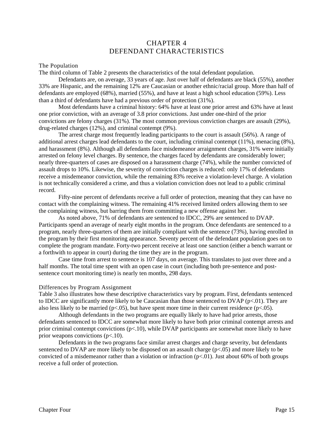# CHAPTER 4 DEFENDANT CHARACTERISTICS

# The Population

The third column of Table 2 presents the characteristics of the total defendant population.

Defendants are, on average, 33 years of age. Just over half of defendants are black (55%), another 33% are Hispanic, and the remaining 12% are Caucasian or another ethnic/racial group. More than half of defendants are employed (68%), married (55%), and have at least a high school education (59%). Less than a third of defendants have had a previous order of protection (31%).

Most defendants have a criminal history: 64% have at least one prior arrest and 63% have at least one prior conviction, with an average of 3.8 prior convictions. Just under one-third of the prior convictions are felony charges (31%). The most common previous conviction charges are assault (29%), drug-related charges (12%), and criminal contempt (9%).

The arrest charge most frequently leading participants to the court is assault (56%). A range of additional arrest charges lead defendants to the court, including criminal contempt (11%), menacing (8%), and harassment (8%). Although all defendants face misdemeanor arraignment charges, 31% were initially arrested on felony level charges. By sentence, the charges faced by defendants are considerably lower; nearly three-quarters of cases are disposed on a harassment charge (74%), while the number convicted of assault drops to 10%. Likewise, the severity of conviction charges is reduced: only 17% of defendants receive a misdemeanor conviction, while the remaining 83% receive a violation-level charge. A violation is not technically considered a crime, and thus a violation conviction does not lead to a public criminal record.

Fifty-nine percent of defendants receive a full order of protection, meaning that they can have no contact with the complaining witness. The remaining 41% received limited orders allowing them to see the complaining witness, but barring them from committing a new offense against her.

As noted above, 71% of defendants are sentenced to IDCC, 29% are sentenced to DVAP. Participants spend an average of nearly eight months in the program. Once defendants are sentenced to a program, nearly three-quarters of them are initially compliant with the sentence (73%), having enrolled in the program by their first monitoring appearance. Seventy percent of the defendant population goes on to complete the program mandate. Forty-two percent receive at least one sanction (either a bench warrant or a forthwith to appear in court) during the time they are in the program.

Case time from arrest to sentence is 107 days, on average. This translates to just over three and a half months. The total time spent with an open case in court (including both pre-sentence and postsentence court monitoring time) is nearly ten months, 298 days.

### Differences by Program Assignment

Table 3 also illustrates how these descriptive characteristics vary by program. First, defendants sentenced to IDCC are significantly more likely to be Caucasian than those sentenced to DVAP ( $p<.01$ ). They are also less likely to be married ( $p<0.05$ ), but have spent more time in their current residence ( $p<0.05$ ).

Although defendants in the two programs are equally likely to have had prior arrests, those defendants sentenced to IDCC are somewhat more likely to have both prior criminal contempt arrests and prior criminal contempt convictions (p<.10), while DVAP participants are somewhat more likely to have prior weapons convictions  $(p<.10)$ .

Defendants in the two programs face similar arrest charges and charge severity, but defendants sentenced to DVAP are more likely to be disposed on an assault charge ( $p<0.05$ ) and more likely to be convicted of a misdemeanor rather than a violation or infraction  $(p<0.01)$ . Just about 60% of both groups receive a full order of protection.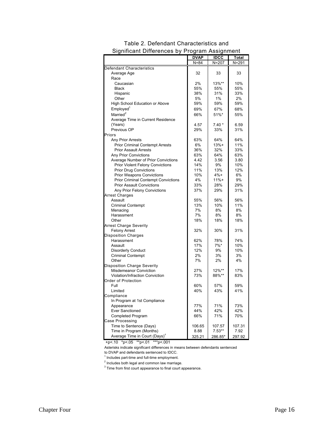|                                            | DVAP     | <b>IDCC</b> | Total  |
|--------------------------------------------|----------|-------------|--------|
|                                            | $N = 84$ | N=207       | N=291  |
| Defendant Characteristics                  |          |             |        |
| Average Age                                | 32       | 33          | 33     |
| Race                                       |          |             |        |
| Caucasian                                  | 2%       | 13%**       | 10%    |
| <b>Black</b>                               | 55%      | 55%         | 55%    |
| Hispanic                                   | 38%      | 31%         | 33%    |
| Other                                      | 5%       | 1%          | 2%     |
| <b>High School Education or Above</b>      | 59%      | 59%         | 59%    |
| Emploved <sup>1</sup>                      | 69%      | 67%         | 68%    |
| Married <sup>2</sup>                       | 66%      |             |        |
|                                            |          | 51%*        | 55%    |
| Average Time in Current Residence          |          |             |        |
| (Years)                                    | 4.57     | $7.40*$     | 6.59   |
| Previous OP                                | 29%      | 33%         | 31%    |
| Priors                                     |          |             |        |
| Any Prior Arrests                          | 63%      | 64%         | 64%    |
| <b>Prior Criminal Contempt Arrests</b>     | 6%       | $13% +$     | 11%    |
| <b>Prior Assault Arrests</b>               | 36%      | 32%         | 33%    |
| <b>Any Prior Convictions</b>               | 63%      | 64%         | 63%    |
| Average Number of Prior Convictions        | 4.42     | 3.56        | 3.80   |
| Prior Violent Felony Convictions           | 14%      | 9%          | 10%    |
| <b>Prior Drug Convictions</b>              | 11%      | 13%         | 12%    |
| <b>Prior Weapons Convictions</b>           | 10%      | $4%+$       | 6%     |
| <b>Prior Criminal Contempt Convictions</b> | 4%       | $11% +$     | 9%     |
| <b>Prior Assault Convictions</b>           | 33%      | 28%         | 29%    |
| Any Prior Felony Convictions               | 37%      | 29%         | 31%    |
| <b>Arrest Charges</b>                      |          |             |        |
| Assault                                    | 55%      | 56%         | 56%    |
| <b>Criminal Contempt</b>                   | 13%      | 10%         | 11%    |
| Menacing                                   | 7%       | 8%          | 8%     |
| Harassment                                 | 7%       | 8%          | 8%     |
| Other                                      | 18%      | 18%         | 18%    |
| <b>Arrest Charge Severity</b>              |          |             |        |
| <b>Felony Arrest</b>                       | 32%      | 30%         | 31%    |
| <b>Disposition Charges</b>                 |          |             |        |
| Harassment                                 | 62%      | 78%         | 74%    |
| Assault                                    | 17%      | $7%$ *      | 10%    |
| <b>Disorderly Conduct</b>                  | 12%      | 9%          | 10%    |
| <b>Criminal Contempt</b>                   | 2%       | 3%          | 3%     |
| Other                                      | 7%       | 2%          | 4%     |
| <b>Disposition Charge Severity</b>         |          |             |        |
| <b>Misdemeanor Conviction</b>              | 27%      | 12%**       | 17%    |
| Violation/Infraction Conviction            | 73%      | 88%**       | 83%    |
| Order of Protection                        |          |             |        |
| Full                                       | 60%      | 57%         | 59%    |
| Limited                                    | 40%      | 43%         | 41%    |
| Compliance                                 |          |             |        |
| In Program at 1st Compliance               |          |             |        |
| Appearance                                 | 77%      | 71%         | 73%    |
| <b>Ever Sanctioned</b>                     | 44%      | 42%         | 42%    |
| Completed Program                          | 66%      | 71%         | 70%    |
| Case Processing                            |          |             |        |
| Time to Sentence (Days)                    | 106.65   | 107.57      | 107.31 |
| Time in Program (Months)                   | 8.88     | $7.53**$    | 7.92   |
| Average Time in Court (Days) <sup>3</sup>  |          |             |        |
|                                            | 325.21   | 286.85*     | 297.92 |

# Significant Differences by Program Assignment Table 2. Defendant Characteristics and

+p<.10 \*p<.05 \*\*p<.01 \*\*\*p<.001

Asterisks indicate significant differences in means between defendants sentenced

to DVAP and defendants sentenced to IDCC.

 $<sup>1</sup>$  Includes part-time and full-time employment.</sup>

 $2$  Includes both legal and common law marriage.

 $3$  Time from first court appearance to final court appearance.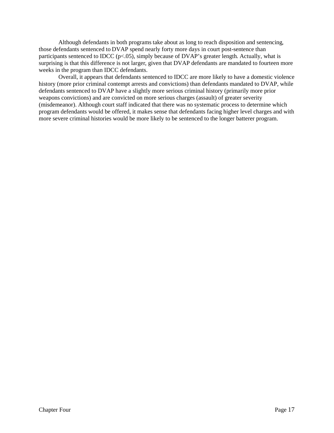Although defendants in both programs take about as long to reach disposition and sentencing, those defendants sentenced to DVAP spend nearly forty more days in court post-sentence than participants sentenced to IDCC ( $p<.05$ ), simply because of DVAP's greater length. Actually, what is surprising is that this difference is not larger, given that DVAP defendants are mandated to fourteen more weeks in the program than IDCC defendants.

Overall, it appears that defendants sentenced to IDCC are more likely to have a domestic violence history (more prior criminal contempt arrests and convictions) than defendants mandated to DVAP, while defendants sentenced to DVAP have a slightly more serious criminal history (primarily more prior weapons convictions) and are convicted on more serious charges (assault) of greater severity (misdemeanor). Although court staff indicated that there was no systematic process to determine which program defendants would be offered, it makes sense that defendants facing higher level charges and with more severe criminal histories would be more likely to be sentenced to the longer batterer program.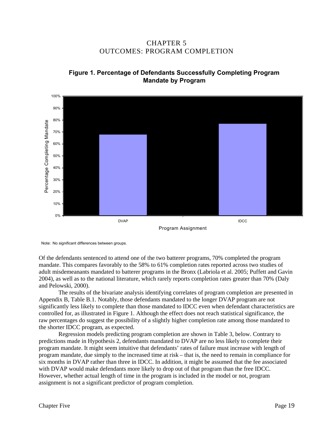CHAPTER 5 OUTCOMES: PROGRAM COMPLETION



**Figure 1. Percentage of Defendants Successfully Completing Program Mandate by Program**

Program Assignment

Note: No significant differences between groups.

Of the defendants sentenced to attend one of the two batterer programs, 70% completed the program mandate. This compares favorably to the 58% to 61% completion rates reported across two studies of adult misdemeanants mandated to batterer programs in the Bronx (Labriola et al. 2005; Puffett and Gavin 2004), as well as to the national literature, which rarely reports completion rates greater than 70% (Daly and Pelowski, 2000).

The results of the bivariate analysis identifying correlates of program completion are presented in Appendix B, Table B.1. Notably, those defendants mandated to the longer DVAP program are not significantly less likely to complete than those mandated to IDCC even when defendant characteristics are controlled for, as illustrated in Figure 1. Although the effect does not reach statistical significance, the raw percentages do suggest the possibility of a slightly higher completion rate among those mandated to the shorter IDCC program, as expected.

Regression models predicting program completion are shown in Table 3, below. Contrary to predictions made in Hypothesis 2, defendants mandated to DVAP are no less likely to complete their program mandate. It might seem intuitive that defendants' rates of failure must increase with length of program mandate, due simply to the increased time at risk – that is, the need to remain in compliance for six months in DVAP rather than three in IDCC. In addition, it might be assumed that the fee associated with DVAP would make defendants more likely to drop out of that program than the free IDCC. However, whether actual length of time in the program is included in the model or not, program assignment is not a significant predictor of program completion.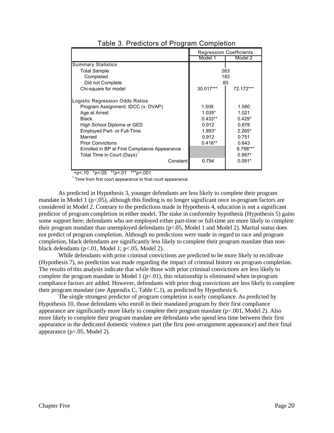|                                               | <b>Regression Coefficients</b> |            |  |  |
|-----------------------------------------------|--------------------------------|------------|--|--|
|                                               | Model 1                        | Model 2    |  |  |
| <b>Summary Statistics</b>                     |                                |            |  |  |
| <b>Total Sample</b>                           |                                | 263        |  |  |
| Completed                                     |                                | 183        |  |  |
| Did not Complete                              |                                | 80         |  |  |
| Chi-square for model                          | 30.017***                      | 72.172***  |  |  |
| Logistic Regression Odds Ratios               |                                |            |  |  |
| Program Assignment: IDCC (v. DVAP)            | 1.506                          | 1.580      |  |  |
| Age at Arrest                                 | $1.035*$                       | 1.021      |  |  |
| <b>Black</b>                                  | $0.433**$                      | $0.429*$   |  |  |
| High School Diploma or GED                    | 0.912                          | 0.878      |  |  |
| <b>Employed Part- or Full-Time</b>            | 1.993*                         | $2.265*$   |  |  |
| Married                                       | 0.912                          | 0.751      |  |  |
| <b>Prior Convictions</b>                      | $0.416**$                      | 0.643      |  |  |
| Enrolled in BP at First Compliance Appearance |                                | $6.798***$ |  |  |
| Total Time in Court (Days)                    |                                | $0.997*$   |  |  |
| Constant                                      | 0.794                          | $0.091*$   |  |  |

# Table 3. Predictors of Program Completion

+p<.10 \*p<.05 \*\*p<.01 \*\*\*p<.001

 $1$  Time from first court appearance to final court appearance.

As predicted in Hypothesis 3, younger defendants are less likely to complete their program mandate in Model 1 (p<.05), although this finding is no longer significant once in-program factors are considered in Model 2. Contrary to the predictions made in Hypothesis 4, education is not a significant predictor of program completion in either model. The stake in conformity hypothesis (Hypothesis 5) gains some support here; defendants who are employed either part-time or full-time are more likely to complete their program mandate than unemployed defendants (p<.05, Model 1 and Model 2). Marital status does not predict of program completion. Although no predictions were made in regard to race and program completion, black defendants are significantly less likely to complete their program mandate than nonblack defendants (p<.01, Model 1; p<.05, Model 2).

While defendants with prior criminal convictions are predicted to be more likely to recidivate (Hypothesis 7), no prediction was made regarding the impact of criminal history on program completion. The results of this analysis indicate that while those with prior criminal convictions are less likely to complete the program mandate in Model 1 ( $p<0.01$ ), this relationship is eliminated when in-program compliance factors are added. However, defendants with prior drug convictions are less likely to complete their program mandate (see Appendix C, Table C.1), as predicted by Hypothesis 6.

The single strongest predictor of program completion is early compliance. As predicted by Hypothesis 10, those defendants who enroll in their mandated program by their first compliance appearance are significantly more likely to complete their program mandate  $(p<.001,$  Model 2). Also more likely to complete their program mandate are defendants who spend less time between their first appearance in the dedicated domestic violence part (the first post-arraignment appearance) and their final appearance (p<.05, Model 2).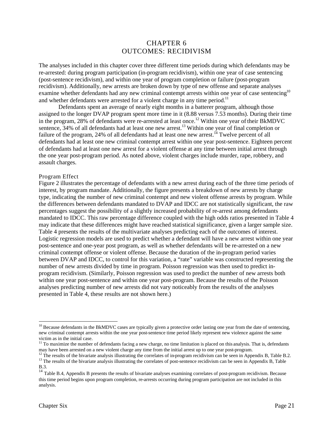# CHAPTER 6 OUTCOMES: RECIDIVISM

The analyses included in this chapter cover three different time periods during which defendants may be re-arrested: during program participation (in-program recidivism), within one year of case sentencing (post-sentence recidivism), and within one year of program completion or failure (post-program recidivism). Additionally, new arrests are broken down by type of new offense and separate analyses examine whether defendants had any new criminal contempt arrests within one year of case sentencing<sup>10</sup> and whether defendants were arrested for a violent charge in any time period.<sup>11</sup>

Defendants spent an average of nearly eight months in a batterer program, although those assigned to the longer DVAP program spent more time in it (8.88 versus 7.53 months). During their time in the program, 28% of defendants were re-arrested at least once.<sup>12</sup> Within one year of their BKMDVC sentence, 34% of all defendants had at least one new arrest.<sup>13</sup> Within one year of final completion or failure of the program,  $24\%$  of all defendants had at least one new arrest.<sup>14</sup> Twelve percent of all defendants had at least one new criminal contempt arrest within one year post-sentence. Eighteen percent of defendants had at least one new arrest for a violent offense at any time between initial arrest through the one year post-program period. As noted above, violent charges include murder, rape, robbery, and assault charges.

### Program Effect

Figure 2 illustrates the percentage of defendants with a new arrest during each of the three time periods of interest, by program mandate. Additionally, the figure presents a breakdown of new arrests by charge type, indicating the number of new criminal contempt and new violent offense arrests by program. While the differences between defendants mandated to DVAP and IDCC are not statistically significant, the raw percentages suggest the possibility of a slightly increased probability of re-arrest among defendants mandated to IDCC. This raw percentage difference coupled with the high odds ratios presented in Table 4 may indicate that these differences might have reached statistical significance, given a larger sample size. Table 4 presents the results of the multivariate analyses predicting each of the outcomes of interest. Logistic regression models are used to predict whether a defendant will have a new arrest within one year post-sentence and one-year post program, as well as whether defendants will be re-arrested on a new criminal contempt offense or violent offense. Because the duration of the in-program period varies between DVAP and IDCC, to control for this variation, a "rate" variable was constructed representing the number of new arrests divided by time in program. Poisson regression was then used to predict inprogram recidivism. (Similarly, Poisson regression was used to predict the number of new arrests both within one year post-sentence and within one year post-program. Because the results of the Poisson analyses predicting number of new arrests did not vary noticeably from the results of the analyses presented in Table 4, these results are not shown here.)

<sup>&</sup>lt;sup>10</sup> Because defendants in the BkMDVC cases are typically given a protective order lasting one year from the date of sentencing, new criminal contempt arrests within the one year post-sentence time period likely represent new violence against the same victim as in the initial case.

 $11$  To maximize the number of defendants facing a new charge, no time limitation is placed on this analysis. That is, defendants may have been arrested on a new violent charge any time from the initial arrest up to one year post-program.

<sup>&</sup>lt;sup>12</sup> The results of the bivariate analysis illustrating the correlates of in-program recidivism can be seen in Appendix B, Table B.2. <sup>13</sup> The results of the bivariate analysis illustrating the correlates of post-sentence recidivism can be seen in Appendix B, Table B.3.

<sup>14&</sup>lt;br><sup>14</sup> Table B.4, Appendix B presents the results of bivariate analyses examining correlates of post-program recidivism. Because this time period begins upon program completion, re-arrests occurring during program participation are not included in this analysis.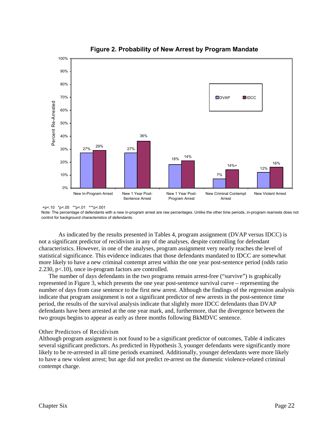

**Figure 2. Probability of New Arrest by Program Mandate**

Note: The percentage of defendants with a new in-program arrest are raw percentages. Unlike the other time periods, in-program rearrests does not control for background characteristics of defendants.

As indicated by the results presented in Tables 4, program assignment (DVAP versus IDCC) is not a significant predictor of recidivism in any of the analyses, despite controlling for defendant characteristics. However, in one of the analyses, program assignment very nearly reaches the level of statistical significance. This evidence indicates that those defendants mandated to IDCC are somewhat more likely to have a new criminal contempt arrest within the one year post-sentence period (odds ratio 2.230, p<.10), once in-program factors are controlled.

The number of days defendants in the two programs remain arrest-free ("survive") is graphically represented in Figure 3, which presents the one year post-sentence survival curve – representing the number of days from case sentence to the first new arrest. Although the findings of the regression analysis indicate that program assignment is not a significant predictor of new arrests in the post-sentence time period, the results of the survival analysis indicate that slightly more IDCC defendants than DVAP defendants have been arrested at the one year mark, and, furthermore, that the divergence between the two groups begins to appear as early as three months following BkMDVC sentence.

# Other Predictors of Recidivism

Although program assignment is not found to be a significant predictor of outcomes, Table 4 indicates several significant predictors. As predicted in Hypothesis 3, younger defendants were significantly more likely to be re-arrested in all time periods examined. Additionally, younger defendants were more likely to have a new violent arrest; but age did not predict re-arrest on the domestic violence-related criminal contempt charge.

 <sup>+</sup>p<.10 \*p<.05 \*\*p<.01 \*\*\*p<.001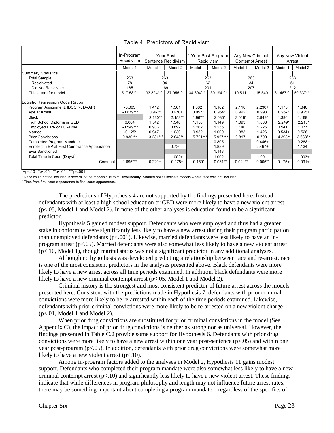|                                               | In-Program<br>Recidivism |            | 1 Year Post-<br>Sentence Recidivism |           | 1 Year Post-Program<br>Recidivism |           | Any New Criminal<br><b>Contempt Arrest</b> |           | Any New Violent<br>Arrest |
|-----------------------------------------------|--------------------------|------------|-------------------------------------|-----------|-----------------------------------|-----------|--------------------------------------------|-----------|---------------------------|
|                                               | Model 1                  | Model 1    | Model 2                             | Model 1   | Model 2                           | Model 1   | Model 2                                    | Model 1   | Model 2                   |
| <b>Summary Statistics</b>                     |                          |            |                                     |           |                                   |           |                                            |           |                           |
| <b>Total Sample</b>                           | 263                      |            | 263                                 |           | 263                               |           | 263                                        |           | 263                       |
| Recidivated                                   | 78                       |            | 94                                  |           | 62                                |           | 34                                         |           | 51                        |
| Did Not Recidivate                            | 185                      |            | 169                                 |           | 201                               |           | 207                                        |           | 212                       |
| Chi-square for model                          | 517.58***                | 33.324***  | 37.955***                           | 34.394*** | 39.194***                         | 10.511    | 15.540                                     | 31.467*** | 50.337***                 |
| Logistic Regression Odds Ratios               |                          |            |                                     |           |                                   |           |                                            |           |                           |
| Program Assignment: IDCC (v. DVAP)            | $-0.063$                 | 1.412      | 1.501                               | 1.082     | 1.162                             | 2.110     | $2.230+$                                   | 1.175     | 1.340                     |
| Age at Arrest                                 | $-0.679***$              | $0.967*$   | $0.970+$                            | $0.957*$  | $0.954*$                          | 0.992     | 0.993                                      | $0.957*$  | $0.965+$                  |
| Black <sup>1</sup>                            |                          | $2.130**$  | $2.153**$                           | 1.967*    | $2.030*$                          | $3.019*$  | $2.949*$                                   | 1.396     | 1.169                     |
| High School Diploma or GED                    | 0.004                    | 1.542      | 1.540                               | 1.156     | 1.149                             | 1.093     | 1.003                                      | $2.249*$  | $2.215*$                  |
| <b>Employed Part- or Full-Time</b>            | $-0.549***$              | 0.906      | 0.892                               | 1.262     | 1.255                             | 1.140     | 1.225                                      | 0.941     | 1.077                     |
| Married                                       | $-0.125*$                | 0.947      | 1.030                               | 0.952     | 1.009                             | 1.383     | 1.426                                      | $0.534+$  | 0.526                     |
| <b>Prior Convictions</b>                      | $0.930***$               | $3.231***$ | 2.848**                             | 5.721***  | 5.927***                          | 0.817     | 0.790                                      | 4.398**   | 3.638**                   |
| Completed Program Mandate                     |                          |            |                                     |           | 0.805                             |           | $0.446+$                                   |           | $0.288**$                 |
| Enrolled in BP at First Compliance Appearance |                          |            | 0.730                               |           | 1.889                             |           | $2.467+$                                   |           | 1.134                     |
| <b>Ever Sanctioned</b>                        |                          |            |                                     |           | 1.148                             |           |                                            |           |                           |
| Total Time in Court (Days) <sup>1</sup>       |                          |            | $1.002 +$                           |           | 1.002                             |           | 1.001                                      |           | $1.003+$                  |
| Constant                                      | 1.695***                 | $0.220 +$  | $0.175+$                            | $0.159*$  | $0.031**$                         | $0.021**$ | $0.005**$                                  | $0.175+$  | $0.091 +$                 |

# Table 4. Predictors of Recidivism

+p<.10 \*p<.05 \*\*p<.01 \*\*\*p<.001

<sup>1</sup> Race could not be included in several of the models due to multicollinearity. Shaded boxes indicate models where race was not included.

 $2$  Time from first court appearance to final court appearance.

The predictions of Hypothesis 4 are not supported by the findings presented here. Instead, defendants with at least a high school education or GED were more likely to have a new violent arrest (p<.05, Model 1 and Model 2). In none of the other analyses is education found to be a significant predictor.

Hypothesis 5 gained modest support. Defendants who were employed and thus had a greater stake in conformity were significantly less likely to have a new arrest during their program participation than unemployed defendants (p<.001). Likewise, married defendants were less likely to have an inprogram arrest (p<.05). Married defendants were also somewhat less likely to have a new violent arrest (p<.10, Model 1), though marital status was not a significant predictor in any additional analyses.

Although no hypothesis was developed predicting a relationship between race and re-arrest, race is one of the most consistent predictors in the analyses presented above. Black defendants were more likely to have a new arrest across all time periods examined. In addition, black defendants were more likely to have a new criminal contempt arrest ( $p<0.05$ , Model 1 and Model 2).

Criminal history is the strongest and most consistent predictor of future arrest across the models presented here. Consistent with the predictions made in Hypothesis 7, defendants with prior criminal convictions were more likely to be re-arrested within each of the time periods examined. Likewise, defendants with prior criminal convictions were more likely to be re-arrested on a new violent charge  $(p<.01$ , Model 1 and Model 2).

When prior drug convictions are substituted for prior criminal convictions in the model (See Appendix C), the impact of prior drug convictions is neither as strong nor as universal. However, the findings presented in Table C.2 provide some support for Hypothesis 6. Defendants with prior drug convictions were more likely to have a new arrest within one year post-sentence ( $p<0.05$ ) and within one year post-program (p<.05). In addition, defendants with prior drug convictions were somewhat more likely to have a new violent arrest  $(p<.10)$ .

Among in-program factors added to the analyses in Model 2, Hypothesis 11 gains modest support. Defendants who completed their program mandate were also somewhat less likely to have a new criminal contempt arrest  $(p<.10)$  and significantly less likely to have a new violent arrest. These findings indicate that while differences in program philosophy and length may not influence future arrest rates, there may be something important about completing a program mandate – regardless of the specifics of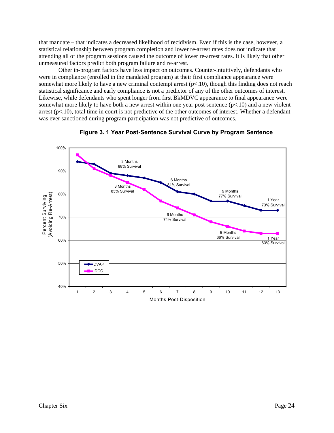that mandate – that indicates a decreased likelihood of recidivism. Even if this is the case, however, a statistical relationship between program completion and lower re-arrest rates does not indicate that attending all of the program sessions caused the outcome of lower re-arrest rates. It is likely that other unmeasured factors predict both program failure and re-arrest.

Other in-program factors have less impact on outcomes. Counter-intuitively, defendants who were in compliance (enrolled in the mandated program) at their first compliance appearance were somewhat more likely to have a new criminal contempt arrest  $(p<10)$ , though this finding does not reach statistical significance and early compliance is not a predictor of any of the other outcomes of interest. Likewise, while defendants who spent longer from first BkMDVC appearance to final appearance were somewhat more likely to have both a new arrest within one year post-sentence  $(p<.10)$  and a new violent arrest  $(p<.10)$ , total time in court is not predictive of the other outcomes of interest. Whether a defendant was ever sanctioned during program participation was not predictive of outcomes.



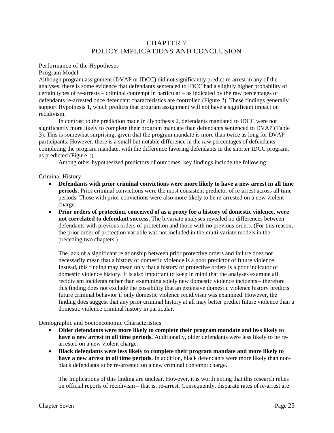# CHAPTER 7 POLICY IMPLICATIONS AND CONCLUSION

# Performance of the Hypotheses

Program Model

Although program assignment (DVAP or IDCC) did not significantly predict re-arrest in any of the analyses, there is some evidence that defendants sentenced to IDCC had a slightly higher probability of certain types of re-arrests – criminal contempt in particular – as indicated by the raw percentages of defendants re-arrested once defendant characteristics are controlled (Figure 2). These findings generally support Hypothesis 1, which predicts that program assignment will not have a significant impact on recidivism.

In contrast to the prediction made in Hypothesis 2, defendants mandated to IDCC were not significantly more likely to complete their program mandate than defendants sentenced to DVAP (Table 3). This is somewhat surprising, given that the program mandate is more than twice as long for DVAP participants. However, there is a small but notable difference in the raw percentages of defendants completing the program mandate, with the difference favoring defendants in the shorter IDCC program, as predicted (Figure 1).

Among other hypothesized predictors of outcomes, key findings include the following:

# Criminal History

- x **Defendants with prior criminal convictions were more likely to have a new arrest in all time periods.** Prior criminal convictions were the most consistent predictor of re-arrest across all time periods. Those with prior convictions were also more likely to be re-arrested on a new violent charge.
- **•** Prior orders of protection, conceived of as a proxy for a history of domestic violence, were **not correlated to defendant success.** The bivariate analyses revealed no differences between defendants with previous orders of protection and those with no previous orders. (For this reason, the prior order of protection variable was not included in the multi-variate models in the preceding two chapters.)

The lack of a significant relationship between prior protective orders and failure does not necessarily mean that a history of domestic violence is a poor predictor of future violence. Instead, this finding may mean only that a history of protective orders is a poor indicator of domestic violence history. It is also important to keep in mind that the analyses examine all recidivism incidents rather than examining solely new domestic violence incidents – therefore this finding does not exclude the possibility that an extensive domestic violence history predicts future criminal behavior if only domestic violence recidivism was examined. However, the finding does suggest that any prior criminal history at all may better predict future violence than a domestic violence criminal history in particular.

Demographic and Socioeconomic Characteristics

- x **Older defendants were more likely to complete their program mandate and less likely to have a new arrest in all time periods.** Additionally, older defendants were less likely to be rearrested on a new violent charge.
- x **Black defendants were less likely to complete their program mandate and more likely to have a new arrest in all time periods.** In addition, black defendants were more likely than nonblack defendants to be re-arrested on a new criminal contempt charge.

The implications of this finding are unclear. However, it is worth noting that this research relies on official reports of recidivism – that is, re-arrest. Consequently, disparate rates of re-arrest are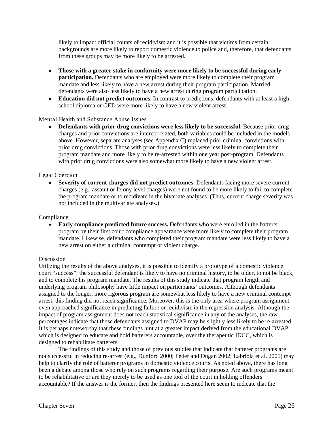likely to impact official counts of recidivism and it is possible that victims from certain backgrounds are more likely to report domestic violence to police and, therefore, that defendants from these groups may be more likely to be arrested.

- x **Those with a greater stake in conformity were more likely to be successful during early participation.** Defendants who are employed were more likely to complete their program mandate and less likely to have a new arrest during their program participation. Married defendants were also less likely to have a new arrest during program participation.
- Education did not predict outcomes. In contrast to predictions, defendants with at least a high school diploma or GED were more likely to have a new violent arrest.

# Mental Health and Substance Abuse Issues

**Defendants with prior drug convictions were less likely to be successful.** Because prior drug charges and prior convictions are intercorrelated, both variables could be included in the models above. However, separate analyses (see Appendix C) replaced prior criminal convictions with prior drug convictions. Those with prior drug convictions were less likely to complete their program mandate and more likely to be re-arrested within one year post-program. Defendants with prior drug convictions were also somewhat more likely to have a new violent arrest.

# Legal Coercion

x **Severity of current charges did not predict outcomes.** Defendants facing more severe current charges (e.g., assault or felony level charges) were not found to be more likely to fail to complete the program mandate or to recidivate in the bivariate analyses. (Thus, current charge severity was not included in the multivariate analyses.)

#### Compliance

**Early compliance predicted future success.** Defendants who were enrolled in the batterer program by their first court compliance appearance were more likely to complete their program mandate. Likewise, defendants who completed their program mandate were less likely to have a new arrest on either a criminal contempt or violent charge.

### Discussion

Utilizing the results of the above analyses, it is possible to identify a prototype of a domestic violence court "success": the successful defendant is likely to have no criminal history, to be older, to not be black, and to complete his program mandate. The results of this study indicate that program length and underlying program philosophy have little impact on participants' outcomes. Although defendants assigned to the longer, more rigorous program are somewhat less likely to have a new criminal contempt arrest, this finding did not reach significance. Moreover, this is the only area where program assignment even approached significance in predicting failure or recidivism in the regression analysis. Although the impact of program assignment does not reach statistical significance in any of the analyses, the raw percentages indicate that those defendants assigned to DVAP may be slightly less likely to be re-arrested. It is perhaps noteworthy that these findings hint at a greater impact derived from the educational DVAP, which is designed to educate and hold batterers accountable, over the therapeutic IDCC, which is designed to rehabilitate batterers.

The findings of this study and those of previous studies that indicate that batterer programs are not successful in reducing re-arrest (e.g., Dunford 2000; Feder and Dugan 2002; Labriola et al. 2005) may help to clarify the role of batterer programs in domestic violence courts. As noted above, there has long been a debate among those who rely on such programs regarding their purpose. Are such programs meant to be rehabilitative or are they merely to be used as one tool of the court in holding offenders accountable? If the answer is the former, then the findings presented here seem to indicate that the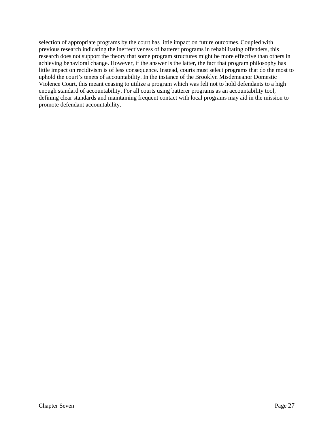selection of appropriate programs by the court has little impact on future outcomes. Coupled with previous research indicating the ineffectiveness of batterer programs in rehabilitating offenders, this research does not support the theory that some program structures might be more effective than others in achieving behavioral change. However, if the answer is the latter, the fact that program philosophy has little impact on recidivism is of less consequence. Instead, courts must select programs that do the most to uphold the court's tenets of accountability. In the instance of the Brooklyn Misdemeanor Domestic Violence Court, this meant ceasing to utilize a program which was felt not to hold defendants to a high enough standard of accountability. For all courts using batterer programs as an accountability tool, defining clear standards and maintaining frequent contact with local programs may aid in the mission to promote defendant accountability.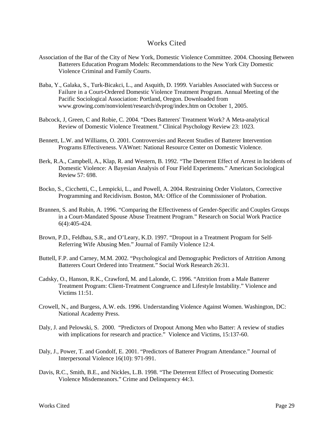# Works Cited

- Association of the Bar of the City of New York, Domestic Violence Committee. 2004. Choosing Between Batterers Education Program Models: Recommendations to the New York City Domestic Violence Criminal and Family Courts.
- Baba, Y., Galaka, S., Turk-Bicakci, L., and Asquith, D. 1999. Variables Associated with Success or Failure in a Court-Ordered Domestic Violence Treatment Program. Annual Meeting of the Pacific Sociological Association: Portland, Oregon. Downloaded from www.growing.com/nonviolent/research/dvprog/index.htm on October 1, 2005.
- Babcock, J, Green, C and Robie, C. 2004. "Does Batterers' Treatment Work? A Meta-analytical Review of Domestic Violence Treatment." Clinical Psychology Review 23: 1023.
- Bennett, L.W. and Williams, O. 2001. Controversies and Recent Studies of Batterer Intervention Programs Effectiveness. VAWnet: National Resource Center on Domestic Violence.
- Berk, R.A., Campbell, A., Klap, R. and Western, B. 1992. "The Deterrent Effect of Arrest in Incidents of Domestic Violence: A Bayesian Analysis of Four Field Experiments." American Sociological Review 57: 698.
- Bocko, S., Cicchetti, C., Lempicki, L., and Powell, A. 2004. Restraining Order Violators, Corrective Programming and Recidivism. Boston, MA: Office of the Commissioner of Probation.
- Brannen, S. and Rubin, A. 1996. "Comparing the Effectiveness of Gender-Specific and Couples Groups in a Court-Mandated Spouse Abuse Treatment Program." Research on Social Work Practice 6(4):405-424.
- Brown, P.D., Feldbau, S.R., and O'Leary, K.D. 1997. "Dropout in a Treatment Program for Self-Referring Wife Abusing Men." Journal of Family Violence 12:4.
- Buttell, F.P. and Carney, M.M. 2002. "Psychological and Demographic Predictors of Attrition Among Batterers Court Ordered into Treatment." Social Work Research 26:31.
- Cadsky, O., Hanson, R.K., Crawford, M. and Lalonde, C. 1996. "Attrition from a Male Batterer Treatment Program: Client-Treatment Congruence and Lifestyle Instability." Violence and Victims 11:51.
- Crowell, N., and Burgess, A.W. eds. 1996. Understanding Violence Against Women. Washington, DC: National Academy Press.
- Daly, J. and Pelowski, S. 2000. "Predictors of Dropout Among Men who Batter: A review of studies with implications for research and practice." Violence and Victims, 15:137-60.
- Daly, J., Power, T. and Gondolf, E. 2001. "Predictors of Batterer Program Attendance." Journal of Interpersonal Violence 16(10): 971-991.
- Davis, R.C., Smith, B.E., and Nickles, L.B. 1998. "The Deterrent Effect of Prosecuting Domestic Violence Misdemeanors." Crime and Delinquency 44:3.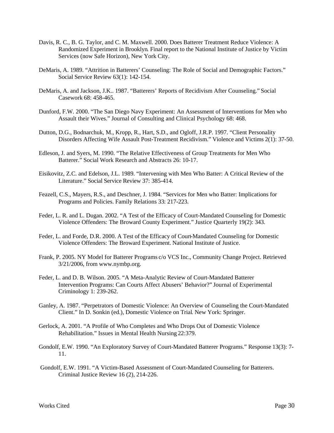- Davis, R. C., B. G. Taylor, and C. M. Maxwell. 2000. Does Batterer Treatment Reduce Violence: A Randomized Experiment in Brooklyn. Final report to the National Institute of Justice by Victim Services (now Safe Horizon), New York City.
- DeMaris, A. 1989. "Attrition in Batterers' Counseling: The Role of Social and Demographic Factors." Social Service Review 63(1): 142-154.
- DeMaris, A. and Jackson, J.K.. 1987. "Batterers' Reports of Recidivism After Counseling." Social Casework 68: 458-465.
- Dunford, F.W. 2000. "The San Diego Navy Experiment: An Assessment of Interventions for Men who Assault their Wives." Journal of Consulting and Clinical Psychology 68: 468.
- Dutton, D.G., Bodnarchuk, M., Kropp, R., Hart, S.D., and Ogloff, J.R.P. 1997. "Client Personality Disorders Affecting Wife Assault Post-Treatment Recidivism." Violence and Victims 2(1): 37-50.
- Edleson, J. and Syers, M. 1990. "The Relative Effectiveness of Group Treatments for Men Who Batterer." Social Work Research and Abstracts 26: 10-17.
- Eisikovitz, Z.C. and Edelson, J.L. 1989. "Intervening with Men Who Batter: A Critical Review of the Literature." Social Service Review 37: 385-414.
- Feazell, C.S., Mayers, R.S., and Deschner, J. 1984. "Services for Men who Batter: Implications for Programs and Policies. Family Relations 33: 217-223.
- Feder, L. R. and L. Dugan. 2002. "A Test of the Efficacy of Court-Mandated Counseling for Domestic Violence Offenders: The Broward County Experiment." Justice Quarterly 19(2): 343.
- Feder, L. and Forde, D.R. 2000. A Test of the Efficacy of Court-Mandated Counseling for Domestic Violence Offenders: The Broward Experiment. National Institute of Justice.
- Frank, P. 2005. NY Model for Batterer Programs c/o VCS Inc., Community Change Project. Retrieved 3/21/2006, from www.nymbp.org.
- Feder, L. and D. B. Wilson. 2005. "A Meta-Analytic Review of Court-Mandated Batterer Intervention Programs: Can Courts Affect Abusers' Behavior?" Journal of Experimental Criminology 1: 239-262.
- Ganley, A. 1987. "Perpetrators of Domestic Violence: An Overview of Counseling the Court-Mandated Client." In D. Sonkin (ed.), Domestic Violence on Trial. New York: Springer.
- Gerlock, A. 2001. "A Profile of Who Completes and Who Drops Out of Domestic Violence Rehabilitation." Issues in Mental Health Nursing 22:379.
- Gondolf, E.W. 1990. "An Exploratory Survey of Court-Mandated Batterer Programs." Response 13(3): 7- 11.
- Gondolf, E.W. 1991. "A Victim-Based Assessment of Court-Mandated Counseling for Batterers. Criminal Justice Review 16 (2), 214-226.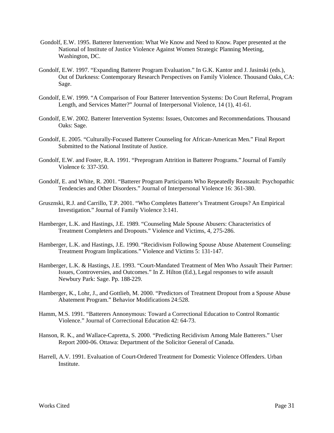- Gondolf, E.W. 1995. Batterer Intervention: What We Know and Need to Know. Paper presented at the National of Institute of Justice Violence Against Women Strategic Planning Meeting, Washington, DC.
- Gondolf, E.W. 1997. "Expanding Batterer Program Evaluation." In G.K. Kantor and J. Jasinski (eds.), Out of Darkness: Contemporary Research Perspectives on Family Violence. Thousand Oaks, CA: Sage.
- Gondolf, E.W. 1999. "A Comparison of Four Batterer Intervention Systems: Do Court Referral, Program Length, and Services Matter?" Journal of Interpersonal Violence, 14 (1), 41-61.
- Gondolf, E.W. 2002. Batterer Intervention Systems: Issues, Outcomes and Recommendations. Thousand Oaks: Sage.
- Gondolf, E. 2005. "Culturally-Focused Batterer Counseling for African-American Men." Final Report Submitted to the National Institute of Justice.
- Gondolf, E.W. and Foster, R.A. 1991. "Preprogram Attrition in Batterer Programs." Journal of Family Violence 6: 337-350.
- Gondolf, E. and White, R. 2001. "Batterer Program Participants Who Repeatedly Reassault: Psychopathic Tendencies and Other Disorders." Journal of Interpersonal Violence 16: 361-380.
- Grusznski, R.J. and Carrillo, T.P. 2001. "Who Completes Batterer's Treatment Groups? An Empirical Investigation." Journal of Family Violence 3:141.
- Hamberger, L.K. and Hastings, J.E. 1989. "Counseling Male Spouse Abusers: Characteristics of Treatment Completers and Dropouts." Violence and Victims, 4, 275-286.
- Hamberger, L.K. and Hastings, J.E. 1990. "Recidivism Following Spouse Abuse Abatement Counseling: Treatment Program Implications." Violence and Victims 5: 131-147.
- Hamberger, L.K. & Hastings, J.E. 1993. "Court-Mandated Treatment of Men Who Assault Their Partner: Issues, Controversies, and Outcomes." In Z. Hilton (Ed.), Legal responses to wife assault Newbury Park: Sage. Pp. 188-229.
- Hamberger, K., Lohr, J., and Gottlieb, M. 2000. "Predictors of Treatment Dropout from a Spouse Abuse Abatement Program." Behavior Modifications 24:528.
- Hamm, M.S. 1991. "Batterers Annonymous: Toward a Correctional Education to Control Romantic Violence." Journal of Correctional Education 42: 64-73.
- Hanson, R. K., and Wallace-Capretta, S. 2000. "Predicting Recidivism Among Male Batterers." User Report 2000-06. Ottawa: Department of the Solicitor General of Canada.
- Harrell, A.V. 1991. Evaluation of Court-Ordered Treatment for Domestic Violence Offenders. Urban Institute.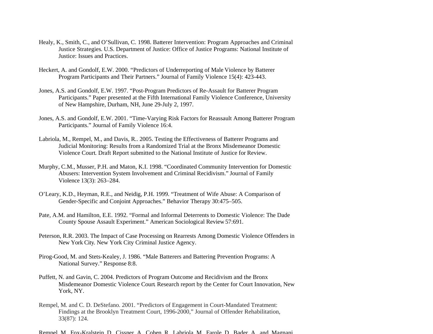- Healy, K., Smith, C., and O'Sullivan, C. 1998. Batterer Intervention: Program Approaches and Criminal Justice Strategies. U.S. Department of Justice: Office of Justice Programs: National Institute of Justice: Issues and Practices.
- Heckert, A. and Gondolf, E.W. 2000. "Predictors of Underreporting of Male Violence by Batterer Program Participants and Their Partners." Journal of Family Violence 15(4): 423-443.
- Jones, A.S. and Gondolf, E.W. 1997. "Post-Program Predictors of Re-Assault for Batterer Program Participants." Paper presented at the Fifth International Family Violence Conference, University of New Hampshire, Durham, NH, June 29-July 2, 1997.
- Jones, A.S. and Gondolf, E.W. 2001. "Time-Varying Risk Factors for Reassault Among Batterer Program Participants." Journal of Family Violence 16:4.
- Labriola, M., Rempel, M., and Davis, R.. 2005. Testing the Effectiveness of Batterer Programs and Judicial Monitoring: Results from a Randomized Trial at the Bronx Misdemeanor Domestic Violence Court. Draft Report submitted to the National Institute of Justice for Review.
- Murphy, C.M., Musser, P.H. and Maton, K.I. 1998. "Coordinated Community Intervention for Domestic Abusers: Intervention System Involvement and Criminal Recidivism." Journal of Family Violence 13(3): 263–284.
- O'Leary, K.D., Heyman, R.E., and Neidig, P.H. 1999. "Treatment of Wife Abuse: A Comparison of Gender-Specific and Conjoint Approaches." Behavior Therapy 30:475–505.
- Pate, A.M. and Hamilton, E.E. 1992. "Formal and Informal Deterrents to Domestic Violence: The Dade County Spouse Assault Experiment." American Sociological Review 57:691.
- Peterson, R.R. 2003. The Impact of Case Processing on Rearrests Among Domestic Violence Offenders in New York City. New York City Criminal Justice Agency.
- Pirog-Good, M. and Stets-Kealey, J. 1986. "Male Batterers and Battering Prevention Programs: A National Survey." Response 8:8.
- Puffett, N. and Gavin, C. 2004. Predictors of Program Outcome and Recidivism and the Bronx Misdemeanor Domestic Violence Court. Research report by the Center for Court Innovation, New York, NY.
- Rempel, M. and C. D. DeStefano. 2001. "Predictors of Engagement in Court-Mandated Treatment: Findings at the Brooklyn Treatment Court, 1996-2000," Journal of Offender Rehabilitation, 33(87): 124.
- Rempel, M., Fox-Kralstein, D., Cissner, A., Cohen, R., Labriola, M., Farole, D., Bader, A., and Magnani,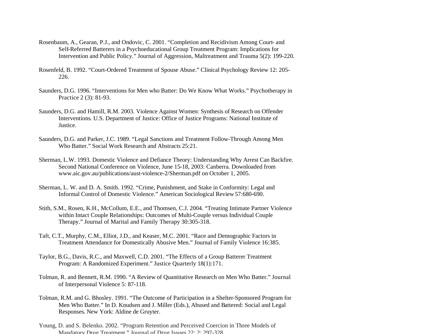- Rosenbaum, A., Gearan, P.J., and Ondovic, C. 2001. "Completion and Recidivism Among Court- and Self-Referred Batterers in a Psychoeducational Group Treatment Program: Implications for Intervention and Public Policy." Journal of Aggression, Maltreatment and Trauma 5(2): 199-220.
- Rosenfeld, B. 1992. "Court-Ordered Treatment of Spouse Abuse." Clinical Psychology Review 12: 205- 226.
- Saunders, D.G. 1996. "Interventions for Men who Batter: Do We Know What Works." Psychotherapy in Practice 2 (3): 81-93.
- Saunders, D.G. and Hamill, R.M. 2003. Violence Against Women: Synthesis of Research on Offender Interventions. U.S. Department of Justice: Office of Justice Programs: National Institute of Justice.
- Saunders, D.G. and Parker, J.C. 1989. "Legal Sanctions and Treatment Follow-Through Among Men Who Batter." Social Work Research and Abstracts 25:21.
- Sherman, L.W. 1993. Domestic Violence and Defiance Theory: Understanding Why Arrest Can Backfire. Second National Conference on Violence, June 15-18, 2003: Canberra. Downloaded from www.aic.gov.au/publications/aust-violence-2/Sherman.pdf on October 1, 2005.
- Sherman, L. W. and D. A. Smith. 1992. "Crime, Punishment, and Stake in Conformity: Legal and Informal Control of Domestic Violence." American Sociological Review 57:680-690.
- Stith, S.M., Rosen, K.H., McCollum, E.E., and Thomsen, C.J. 2004. "Treating Intimate Partner Violence within Intact Couple Relationships: Outcomes of Multi-Couple versus Individual Couple Therapy." Journal of Marital and Family Therapy 30:305-318.
- Taft, C.T., Murphy, C.M., Elliot, J.D., and Keaser, M.C. 2001. "Race and Demographic Factors in Treatment Attendance for Domestically Abusive Men." Journal of Family Violence 16:385.
- Taylor, B.G., Davis, R.C., and Maxwell, C.D. 2001. "The Effects of a Group Batterer Treatment Program: A Randomized Experiment." Justice Quarterly 18(1):171.
- Tolman, R. and Bennett, R.M. 1990. "A Review of Quantitative Research on Men Who Batter." Journal of Interpersonal Violence 5: 87-118.
- Tolman, R.M. and G. Bhosley. 1991. "The Outcome of Participation in a Shelter-Sponsored Program for Men Who Batter." In D. Knudsen and J. Miller (Eds.), Abused and Battered: Social and Legal Responses. New York: Aldine de Gruyter.
- Young, D. and S. Belenko. 2002. "Program Retention and Perceived Coercion in Three Models of Mandatory Drug Treatment," Journal of Drug Issues 22: 2: 297-328.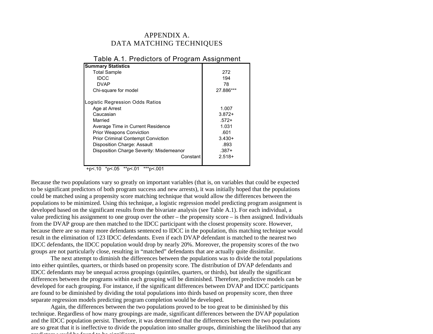# APPENDIX A. DATA MATCHING TECHNIQUES

| <b>Summary Statistics</b>                 |           |
|-------------------------------------------|-----------|
| <b>Total Sample</b>                       | 272       |
| IDCC                                      | 194       |
| <b>DVAP</b>                               | 78        |
| Chi-square for model                      | 27.886*** |
| Logistic Regression Odds Ratios           |           |
| Age at Arrest                             | 1.007     |
| Caucasian                                 | $3.872+$  |
| Married                                   | $.572+$   |
| Average Time in Current Residence         | 1.031     |
| <b>Prior Weapons Conviction</b>           | .601      |
| <b>Prior Criminal Contempt Conviction</b> | $3.430+$  |
| Disposition Charge: Assault               | .893      |
| Disposition Charge Severity: Misdemeanor  | $.387+$   |
| Constant                                  | $2.518+$  |
|                                           |           |

# Table A.1. Predictors of Program Assignment

+p<.10 \*p<.05 \*\*p<.01 \*\*\*p<.001

Because the two populations vary so greatly on important variables (that is, on variables that could be expected to be significant predictors of both program success and new arrests), it was initially hoped that the populations could be matched using a propensity score matching technique that would allow the differences between the populations to be minimized. Using this technique, a logistic regression model predicting program assignment is developed based on the significant results from the bivariate analysis (see Table A.1). For each individual, a value predicting his assignment to one group over the other – the propensity score – is then assigned. Individuals from the DVAP group are then matched to the IDCC participant with the closest propensity score. However, because there are so many more defendants sentenced to IDCC in the population, this matching technique would result in the elimination of 123 IDCC defendants. Even if each DVAP defendant is matched to the nearest two IDCC defendants, the IDCC population would drop by nearly 20%. Moreover, the propensity scores of the two groups are not particularly close, resulting in "matched" defendants that are actually quite dissimilar.

The next attempt to diminish the differences between the populations was to divide the total populations into either quintiles, quarters, or thirds based on propensity score. The distribution of DVAP defendants and IDCC defendants may be unequal across groupings (quintiles, quarters, or thirds), but ideally the significant differences between the programs within each grouping will be diminished. Therefore, predictive models can be developed for each grouping. For instance, if the significant differences between DVAP and IDCC participants are found to be diminished by dividing the total populations into thirds based on propensity score, then three separate regression models predicting program completion would be developed.

Again, the differences between the two populations proved to be too great to be diminished by this technique. Regardless of how many groupings are made, significant differences between the DVAP population and the IDCC population persist. Therefore, it was determined that the differences between the two populations are so great that it is ineffective to divide the population into smaller groups, diminishing the likelihood that any predictors would be found to be significant.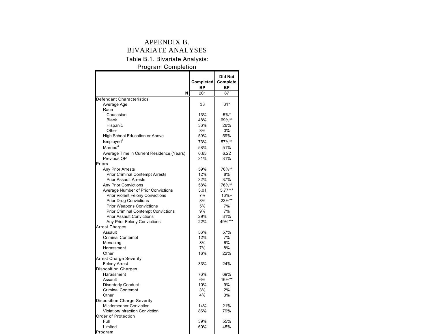# APPENDIX B. BIVARIATE ANALYSES

# Table B.1. Bivariate Analysis:

# Program Completion

|                                            | Completed | <b>Did Not</b><br>Complete |
|--------------------------------------------|-----------|----------------------------|
|                                            | <b>BP</b> | <b>BP</b>                  |
| N                                          | 201       | 87                         |
| Defendant Characteristics                  |           |                            |
| Average Age                                | 33        | $31*$                      |
| Race                                       |           |                            |
| Caucasian                                  | 13%       | $5%$ *                     |
| <b>Black</b>                               | 48%       | 69%**                      |
| Hispanic                                   | 36%       | 26%                        |
| Other                                      | 3%        | $0\%$                      |
| High School Education or Above             | 59%       | 59%                        |
| Employed <sup>1</sup>                      | 73%       | 57%**                      |
| Married <sup>2</sup>                       | 58%       | 51%                        |
| Average Time in Current Residence (Years)  | 6.63      | 6.22                       |
| Previous OP                                | 31%       | 31%                        |
| Priors                                     |           |                            |
|                                            | 59%       | 76%**                      |
| Any Prior Arrests                          |           |                            |
| <b>Prior Criminal Contempt Arrests</b>     | 12%       | 8%                         |
| <b>Prior Assault Arrests</b>               | 32%       | 37%                        |
| <b>Any Prior Convictions</b>               | 58%       | 76%**                      |
| Average Number of Prior Convictions        | 3.01      | $5.77***$                  |
| <b>Prior Violent Felony Convictions</b>    | 7%        | $16% +$                    |
| <b>Prior Drug Convictions</b>              | 8%        | 23%**                      |
| <b>Prior Weapons Convictions</b>           | 5%        | 7%                         |
| <b>Prior Criminal Contempt Convictions</b> | 9%        | 7%                         |
| <b>Prior Assault Convictions</b>           | 29%       | 31%                        |
| Any Prior Felony Convictions               | 22%       | 49%***                     |
| <b>Arrest Charges</b>                      |           |                            |
| Assault                                    | 56%       | 57%                        |
| <b>Criminal Contempt</b>                   | 12%       | 7%                         |
| Menacing                                   | 8%        | 6%                         |
| Harassment                                 | 7%        | 8%                         |
| Other                                      | 16%       | 22%                        |
| <b>Arrest Charge Severity</b>              |           |                            |
| <b>Felony Arrest</b>                       | 33%       | 24%                        |
| <b>Disposition Charges</b>                 |           |                            |
| Harassment                                 | 76%       | 69%                        |
| Assault                                    | 6%        | 16%**                      |
| <b>Disorderly Conduct</b>                  | 10%       | 9%                         |
| <b>Criminal Contempt</b>                   | 3%        | 2%                         |
| Other                                      | 4%        | 3%                         |
| <b>Disposition Charge Severity</b>         |           |                            |
| <b>Misdemeanor Conviction</b>              | 14%       | 21%                        |
| <b>Violation/Infraction Conviction</b>     | 86%       | 79%                        |
| Order of Protection                        |           |                            |
| Full                                       | 39%       | 55%                        |
| Limited                                    | 60%       | 45%                        |
| Program                                    |           |                            |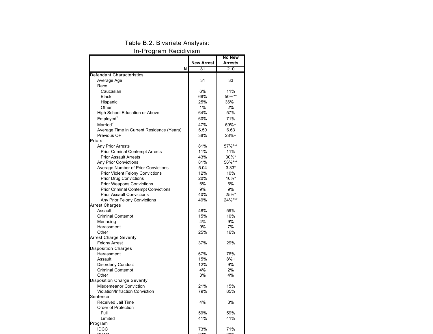# Table B.2. Bivariate Analysis:

In-Program Recidivism

|                                            |                   | <b>No New</b>  |
|--------------------------------------------|-------------------|----------------|
|                                            | <b>New Arrest</b> | <b>Arrests</b> |
| N                                          | 81                | 210            |
| Defendant Characteristics                  |                   |                |
| Average Age                                | 31                | 33             |
| Race                                       |                   |                |
| Caucasian                                  | 6%                | 11%            |
| <b>Black</b>                               | 68%               | 50%**          |
| Hispanic                                   | 25%               | $36%+$         |
| Other                                      | $1\%$             | 2%             |
| <b>High School Education or Above</b>      | 64%               | 57%            |
| Employed <sup>1</sup>                      | 60%               | 71%            |
| Married <sup>2</sup>                       | 47%               | $59%+$         |
| Average Time in Current Residence (Years)  | 6.50              | 6.63           |
| Previous OP                                | 38%               | $28%+$         |
| Priors                                     |                   |                |
| <b>Any Prior Arrests</b>                   | 81%               | 57%***         |
| <b>Prior Criminal Contempt Arrests</b>     | 11%               | 11%            |
| <b>Prior Assault Arrests</b>               | 43%               | $30\%$ *       |
| <b>Any Prior Convictions</b>               | 81%               | 56%***         |
| Average Number of Prior Convictions        | 5.04              | $3.33*$        |
| <b>Prior Violent Felony Convictions</b>    | 12%               | 10%            |
| <b>Prior Drug Convictions</b>              | 20%               | $10\%$ *       |
| <b>Prior Weapons Convictions</b>           | 6%                | 6%             |
| <b>Prior Criminal Contempt Convictions</b> | 9%                | 9%             |
| <b>Prior Assault Convictions</b>           | 40%               | 25%*           |
| Any Prior Felony Convictions               | 49%               | 24%***         |
| <b>Arrest Charges</b>                      |                   |                |
| Assault                                    | 48%               | 59%            |
| <b>Criminal Contempt</b>                   | 15%               | 10%            |
| Menacing                                   | 4%                | 9%             |
| Harassment                                 | 9%                | 7%             |
| Other                                      | 25%               | 16%            |
| <b>Arrest Charge Severity</b>              |                   |                |
| <b>Felony Arrest</b>                       | 37%               | 29%            |
| <b>Disposition Charges</b>                 |                   |                |
| Harassment                                 | 67%               | 76%            |
| Assault                                    | 15%               | $8%+$          |
| <b>Disorderly Conduct</b>                  | 12%               | 9%             |
| <b>Criminal Contempt</b>                   | 4%                | 2%             |
| Other                                      | 3%                | 4%             |
| <b>Disposition Charge Severity</b>         |                   |                |
| <b>Misdemeanor Conviction</b>              | 21%               | 15%            |
| Violation/Infraction Conviction            | 79%               | 85%            |
| Sentence                                   |                   |                |
| Received Jail Time                         | 4%                | 3%             |
| Order of Protection                        |                   |                |
| Full                                       | 59%               | 59%            |
| Limited                                    | 41%               | 41%            |
| Program                                    |                   |                |
| <b>IDCC</b>                                | 73%               | 71%            |
|                                            |                   |                |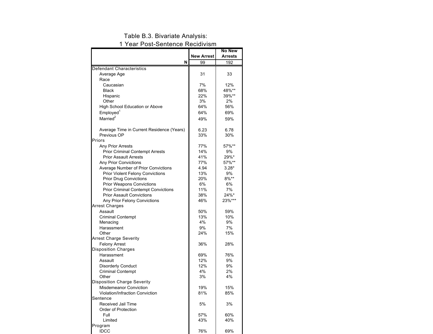#### Table B.3. Bivariate Analysis:

#### 1 Year Post-Sentence Recidivism

|                                                              |                   | <b>No New</b>  |
|--------------------------------------------------------------|-------------------|----------------|
|                                                              | <b>New Arrest</b> | <b>Arrests</b> |
| N                                                            | 99                | 192            |
| Defendant Characteristics                                    |                   |                |
| Average Age                                                  | 31                | 33             |
| Race                                                         |                   |                |
| Caucasian                                                    | 7%                | 12%            |
| <b>Black</b>                                                 | 68%               | 48%**          |
| Hispanic                                                     | 22%               | 39%**          |
| Other                                                        | 3%                | 2%             |
| High School Education or Above                               | 64%               | 56%            |
| Employed <sup>1</sup>                                        | 64%               | 69%            |
| Married <sup>2</sup>                                         | 49%               | 59%            |
|                                                              |                   |                |
| Average Time in Current Residence (Years)                    | 6.23              | 6.78           |
| Previous OP                                                  | 33%               | 30%            |
| Priors                                                       |                   |                |
| <b>Any Prior Arrests</b>                                     | 77%               | 57%**          |
| <b>Prior Criminal Contempt Arrests</b>                       | 14%               | 9%             |
| <b>Prior Assault Arrests</b>                                 | 41%               | 29%*           |
| <b>Any Prior Convictions</b>                                 | 77%               | 57%**          |
| Average Number of Prior Convictions                          | 4.94              | $3.28*$        |
| <b>Prior Violent Felony Convictions</b>                      | 13%               | 9%             |
| <b>Prior Drug Convictions</b>                                | 20%               | $8\%**$        |
| <b>Prior Weapons Convictions</b>                             | 6%                | 6%             |
| <b>Prior Criminal Contempt Convictions</b>                   | 11%               | 7%             |
| <b>Prior Assault Convictions</b>                             | 38%               | 24%*           |
| Any Prior Felony Convictions                                 | 46%               | 23%***         |
| <b>Arrest Charges</b>                                        |                   |                |
| Assault                                                      | 50%               | 59%            |
| <b>Criminal Contempt</b>                                     | 13%               | 10%            |
| Menacing                                                     | 4%                | 9%             |
| Harassment                                                   | 9%                | 7%             |
| Other                                                        | 24%               | 15%            |
| <b>Arrest Charge Severity</b>                                |                   |                |
| <b>Felony Arrest</b>                                         | 36%               | 28%            |
| <b>Disposition Charges</b>                                   |                   |                |
| Harassment                                                   | 69%               | 76%            |
| Assault                                                      | 12%               | 9%             |
| <b>Disorderly Conduct</b>                                    | 12%               | 9%             |
| <b>Criminal Contempt</b>                                     | 4%                | 2%             |
|                                                              | 3%                | 4%             |
| Other                                                        |                   |                |
| Disposition Charge Severity<br><b>Misdemeanor Conviction</b> |                   |                |
|                                                              | 19%               | 15%            |
| <b>Violation/Infraction Conviction</b>                       | 81%               | 85%            |
| Sentence                                                     |                   |                |
| Received Jail Time                                           | 5%                | 3%             |
| Order of Protection                                          |                   |                |
| Full                                                         | 57%               | 60%            |
| Limited                                                      | 43%               | 40%            |
| Program                                                      |                   |                |
| IDCC                                                         | 76%               | 69%            |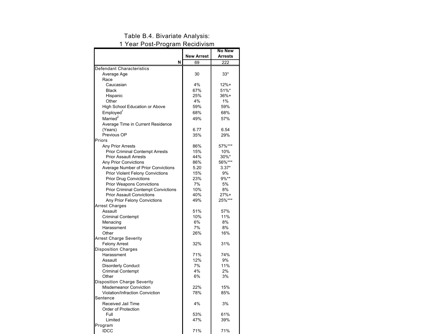### Table B.4. Bivariate Analysis:

#### 1 Year Post-Program Recidivism

|                                            |                   | No New           |
|--------------------------------------------|-------------------|------------------|
|                                            | <b>New Arrest</b> | Arrests          |
| N                                          | 69                | $\overline{222}$ |
| Defendant Characteristics                  |                   |                  |
| Average Age                                | 30                | $33*$            |
| Race                                       |                   |                  |
| Caucasian                                  | 4%                | $12% +$          |
| <b>Black</b>                               | 67%               | 51%*             |
| Hispanic                                   | 25%               | $36%+$           |
| Other                                      | 4%                | 1%               |
| High School Education or Above             | 59%               | 59%              |
| Employed <sup>1</sup>                      | 68%               | 68%              |
| Married <sup>2</sup>                       | 49%               | 57%              |
| Average Time in Current Residence          |                   |                  |
| (Years)                                    | 6.77              | 6.54             |
| Previous OP                                | 35%               | 29%              |
| Priors                                     |                   |                  |
| Any Prior Arrests                          | 86%               | 57%***           |
| <b>Prior Criminal Contempt Arrests</b>     | 15%               | 10%              |
| <b>Prior Assault Arrests</b>               | 44%               | 30%*             |
| <b>Any Prior Convictions</b>               | 86%               | 56%***           |
| Average Number of Prior Convictions        | 5.20              | $3.37*$          |
| <b>Prior Violent Felony Convictions</b>    | 15%               | 9%               |
| <b>Prior Drug Convictions</b>              | 23%               | $9\%**$          |
| <b>Prior Weapons Convictions</b>           | 7%                | 5%               |
| <b>Prior Criminal Contempt Convictions</b> | 10%               | 8%               |
| <b>Prior Assault Convictions</b>           | 40%               | $27%+$           |
| Any Prior Felony Convictions               | 49%               | 25%***           |
| <b>Arrest Charges</b>                      |                   |                  |
| Assault                                    | 51%               | 57%              |
| <b>Criminal Contempt</b>                   | 10%               | 11%              |
| Menacing                                   | 6%                | 8%               |
| Harassment                                 | 7%                | 8%               |
| Other                                      | 26%               | 16%              |
| <b>Arrest Charge Severity</b>              |                   |                  |
| <b>Felony Arrest</b>                       | 32%               | 31%              |
| <b>Disposition Charges</b>                 |                   |                  |
| Harassment                                 | 71%               | 74%              |
| Assault                                    | 12%               | 9%               |
| <b>Disorderly Conduct</b>                  | 7%                | 11%              |
| <b>Criminal Contempt</b>                   | 4%                | 2%               |
| Other                                      | 6%                | 3%               |
| <b>Disposition Charge Severity</b>         |                   |                  |
| <b>Misdemeanor Conviction</b>              | 22%               | 15%              |
| Violation/Infraction Conviction            | 78%               | 85%              |
| Sentence                                   |                   |                  |
| Received Jail Time                         | 4%                | 3%               |
| Order of Protection                        |                   |                  |
| Full                                       | 53%               | 61%              |
| Limited                                    | 47%               | 39%              |
| Program                                    |                   |                  |
| <b>IDCC</b>                                | 71%               | 71%              |